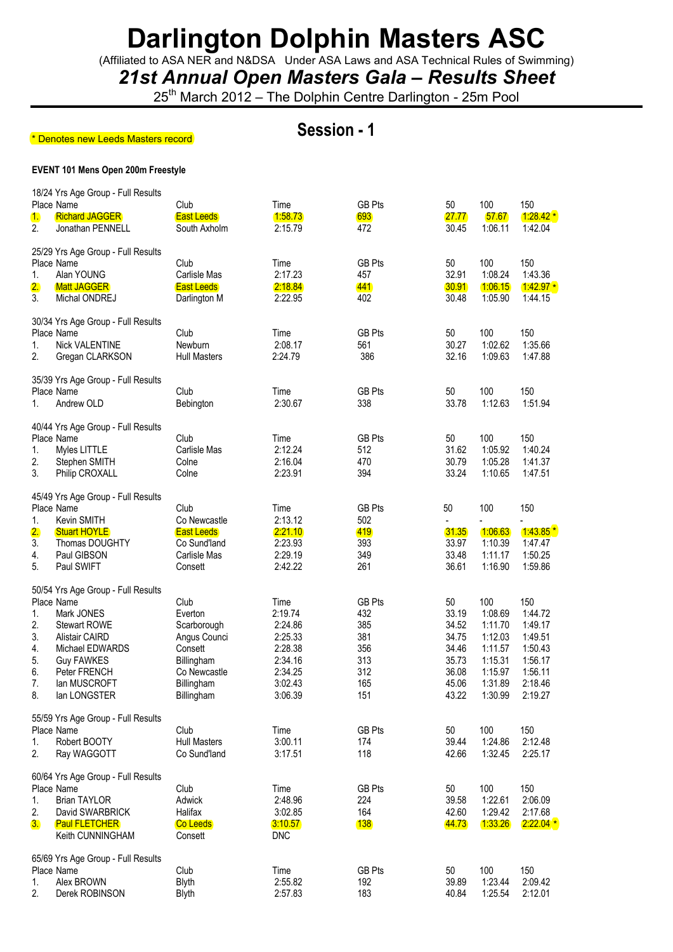(Affiliated to ASA NER and N&DSA Under ASA Laws and ASA Technical Rules of Swimming)

*21st Annual Open Masters Gala – Results Sheet*

25<sup>th</sup> March 2012 – The Dolphin Centre Darlington - 25m Pool

### **Session - 1**

### **EVENT 101 Mens Open 200m Freestyle**  \* Denotes new Leeds Masters record

| 1.<br>2.                                     | 18/24 Yrs Age Group - Full Results<br>Place Name<br><b>Richard JAGGER</b><br>Jonathan PENNELL                                                                    | Club<br><b>East Leeds</b><br>South Axholm                                                                           | Time<br>1:58.73<br>2:15.79                                                                   | <b>GB Pts</b><br>693<br>472                                           | 50<br>27.77<br>30.45                                                       | 100<br>57.67<br>1:06.11                                                                     | 150<br>$1:28.42*$<br>1:42.04                                                                |
|----------------------------------------------|------------------------------------------------------------------------------------------------------------------------------------------------------------------|---------------------------------------------------------------------------------------------------------------------|----------------------------------------------------------------------------------------------|-----------------------------------------------------------------------|----------------------------------------------------------------------------|---------------------------------------------------------------------------------------------|---------------------------------------------------------------------------------------------|
| 1.<br>2.<br>3.                               | 25/29 Yrs Age Group - Full Results<br>Place Name<br>Alan YOUNG<br><b>Matt JAGGER</b><br>Michal ONDREJ                                                            | Club<br>Carlisle Mas<br><b>East Leeds</b><br>Darlington M                                                           | Time<br>2:17.23<br>2:18.84<br>2:22.95                                                        | <b>GB Pts</b><br>457<br>441<br>402                                    | 50<br>32.91<br>30.91<br>30.48                                              | 100<br>1:08.24<br>1:06.15<br>1:05.90                                                        | 150<br>1:43.36<br>$1.42.97*$<br>1:44.15                                                     |
| 1.<br>2.                                     | 30/34 Yrs Age Group - Full Results<br>Place Name<br><b>Nick VALENTINE</b><br>Gregan CLARKSON                                                                     | Club<br>Newburn<br><b>Hull Masters</b>                                                                              | Time<br>2:08.17<br>2:24.79                                                                   | <b>GB Pts</b><br>561<br>386                                           | 50<br>30.27<br>32.16                                                       | 100<br>1:02.62<br>1:09.63                                                                   | 150<br>1:35.66<br>1:47.88                                                                   |
| 1.                                           | 35/39 Yrs Age Group - Full Results<br>Place Name<br>Andrew OLD                                                                                                   | Club<br>Bebington                                                                                                   | Time<br>2:30.67                                                                              | <b>GB Pts</b><br>338                                                  | 50<br>33.78                                                                | 100<br>1:12.63                                                                              | 150<br>1:51.94                                                                              |
| 1.<br>2.<br>3.                               | 40/44 Yrs Age Group - Full Results<br>Place Name<br>Myles LITTLE<br>Stephen SMITH<br>Philip CROXALL                                                              | Club<br>Carlisle Mas<br>Colne<br>Colne                                                                              | Time<br>2:12.24<br>2:16.04<br>2:23.91                                                        | <b>GB Pts</b><br>512<br>470<br>394                                    | 50<br>31.62<br>30.79<br>33.24                                              | 100<br>1:05.92<br>1:05.28<br>1:10.65                                                        | 150<br>1:40.24<br>1:41.37<br>1:47.51                                                        |
| 1.<br>$\overline{2}$ .<br>3.                 | 45/49 Yrs Age Group - Full Results<br>Place Name<br>Kevin SMITH<br><b>Stuart HOYLE</b><br>Thomas DOUGHTY                                                         | Club<br>Co Newcastle<br><b>East Leeds</b><br>Co Sund'land                                                           | Time<br>2:13.12<br>2:21.10<br>2:23.93                                                        | <b>GB Pts</b><br>502<br>419<br>393                                    | 50<br>31.35<br>33.97<br>33.48                                              | 100<br>1:06.63<br>1:10.39                                                                   | 150<br>$1.43.85*$<br>1:47.47                                                                |
| 4.<br>5.                                     | Paul GIBSON<br>Paul SWIFT<br>50/54 Yrs Age Group - Full Results                                                                                                  | Carlisle Mas<br>Consett                                                                                             | 2:29.19<br>2:42.22                                                                           | 349<br>261                                                            | 36.61                                                                      | 1:11.17<br>1:16.90                                                                          | 1:50.25<br>1:59.86                                                                          |
| 1.<br>2.<br>3.<br>4.<br>5.<br>6.<br>7.<br>8. | Place Name<br>Mark JONES<br><b>Stewart ROWE</b><br><b>Alistair CAIRD</b><br>Michael EDWARDS<br><b>Guy FAWKES</b><br>Peter FRENCH<br>lan MUSCROFT<br>lan LONGSTER | Club<br>Everton<br>Scarborough<br>Angus Counci<br>Consett<br>Billingham<br>Co Newcastle<br>Billingham<br>Billingham | Time<br>2:19.74<br>2:24.86<br>2:25.33<br>2:28.38<br>2:34.16<br>2:34.25<br>3:02.43<br>3:06.39 | <b>GB Pts</b><br>432<br>385<br>381<br>356<br>313<br>312<br>165<br>151 | 50<br>33.19<br>34.52<br>34.75<br>34.46<br>35.73<br>36.08<br>45.06<br>43.22 | 100<br>1:08.69<br>1:11.70<br>1:12.03<br>1:11.57<br>1:15.31<br>1:15.97<br>1:31.89<br>1:30.99 | 150<br>1:44.72<br>1:49.17<br>1:49.51<br>1:50.43<br>1:56.17<br>1:56.11<br>2:18.46<br>2:19.27 |
| 1.<br>2.                                     | 55/59 Yrs Age Group - Full Results<br>Place Name<br>Robert BOOTY<br>Ray WAGGOTT                                                                                  | Club<br><b>Hull Masters</b><br>Co Sund'land                                                                         | Time<br>3:00.11<br>3:17.51                                                                   | GB Pts<br>174<br>118                                                  | 50<br>39.44<br>42.66                                                       | 100<br>1:24.86<br>1:32.45                                                                   | 150<br>2:12.48<br>2:25.17                                                                   |
| 1.<br>2.<br>3.                               | 60/64 Yrs Age Group - Full Results<br>Place Name<br><b>Brian TAYLOR</b><br>David SWARBRICK<br><b>Paul FLETCHER</b><br>Keith CUNNINGHAM                           | Club<br>Adwick<br>Halifax<br><b>Co Leeds</b><br>Consett                                                             | Time<br>2:48.96<br>3:02.85<br>3:10.57<br><b>DNC</b>                                          | GB Pts<br>224<br>164<br>138                                           | 50<br>39.58<br>42.60<br>44.73                                              | 100<br>1:22.61<br>1:29.42<br>1:33.26                                                        | 150<br>2:06.09<br>2:17.68<br>$2:22.04*$                                                     |
| 1.<br>2.                                     | 65/69 Yrs Age Group - Full Results<br>Place Name<br>Alex BROWN<br>Derek ROBINSON                                                                                 | Club<br>Blyth<br><b>Blyth</b>                                                                                       | Time<br>2:55.82<br>2:57.83                                                                   | GB Pts<br>192<br>183                                                  | 50<br>39.89<br>40.84                                                       | 100<br>1:23.44<br>1:25.54                                                                   | 150<br>2:09.42<br>2:12.01                                                                   |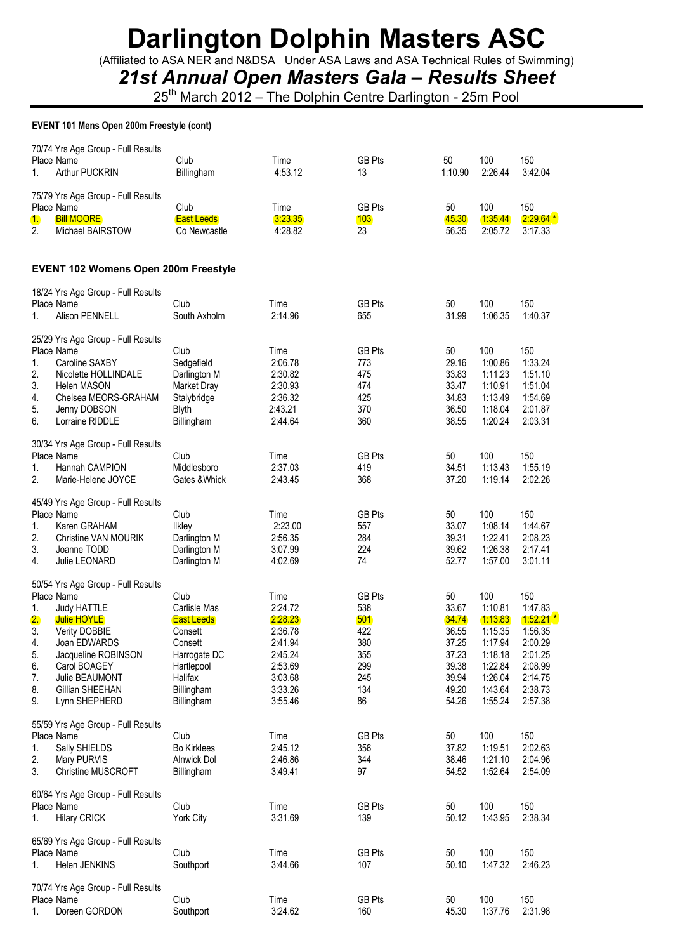(Affiliated to ASA NER and N&DSA Under ASA Laws and ASA Technical Rules of Swimming)

*21st Annual Open Masters Gala – Results Sheet*

25<sup>th</sup> March 2012 – The Dolphin Centre Darlington - 25m Pool

### **EVENT 101 Mens Open 200m Freestyle (cont)**

| 1.                                                 | 70/74 Yrs Age Group - Full Results<br>Place Name<br>Arthur PUCKRIN                                                                                                                                                  | Club<br>Billingham                                                                                                                   | Time<br>4:53.12                                                                                         | <b>GB Pts</b><br>13                                                         | 50<br>1:10.90                                                                       | 100<br>2:26.44                                                                                         | 150<br>3:42.04                                                                                             |
|----------------------------------------------------|---------------------------------------------------------------------------------------------------------------------------------------------------------------------------------------------------------------------|--------------------------------------------------------------------------------------------------------------------------------------|---------------------------------------------------------------------------------------------------------|-----------------------------------------------------------------------------|-------------------------------------------------------------------------------------|--------------------------------------------------------------------------------------------------------|------------------------------------------------------------------------------------------------------------|
| 1.<br>2.                                           | 75/79 Yrs Age Group - Full Results<br>Place Name<br><b>Bill MOORE</b><br>Michael BAIRSTOW                                                                                                                           | Club<br><b>East Leeds</b><br>Co Newcastle                                                                                            | Time<br>3:23.35<br>4:28.82                                                                              | <b>GB Pts</b><br>103<br>23                                                  | 50<br>45.30<br>56.35                                                                | 100<br>1.35.44<br>2:05.72                                                                              | 150<br>$2:29.64*$<br>3:17.33                                                                               |
|                                                    | EVENT 102 Womens Open 200m Freestyle                                                                                                                                                                                |                                                                                                                                      |                                                                                                         |                                                                             |                                                                                     |                                                                                                        |                                                                                                            |
| 1.                                                 | 18/24 Yrs Age Group - Full Results<br>Place Name<br>Alison PENNELL                                                                                                                                                  | Club<br>South Axholm                                                                                                                 | Time<br>2:14.96                                                                                         | <b>GB Pts</b><br>655                                                        | 50<br>31.99                                                                         | 100<br>1:06.35                                                                                         | 150<br>1:40.37                                                                                             |
| 1.<br>2.<br>3.<br>4.<br>5.<br>6.                   | 25/29 Yrs Age Group - Full Results<br>Place Name<br>Caroline SAXBY<br>Nicolette HOLLINDALE<br><b>Helen MASON</b><br>Chelsea MEORS-GRAHAM<br>Jenny DOBSON<br>Lorraine RIDDLE                                         | Club<br>Sedgefield<br>Darlington M<br>Market Dray<br>Stalybridge<br><b>Blyth</b><br>Billingham                                       | Time<br>2:06.78<br>2:30.82<br>2:30.93<br>2:36.32<br>2:43.21<br>2:44.64                                  | <b>GB Pts</b><br>773<br>475<br>474<br>425<br>370<br>360                     | 50<br>29.16<br>33.83<br>33.47<br>34.83<br>36.50<br>38.55                            | 100<br>1:00.86<br>1:11.23<br>1:10.91<br>1:13.49<br>1:18.04<br>1:20.24                                  | 150<br>1:33.24<br>1:51.10<br>1:51.04<br>1:54.69<br>2:01.87<br>2:03.31                                      |
| 1.<br>2.                                           | 30/34 Yrs Age Group - Full Results<br>Place Name<br>Hannah CAMPION<br>Marie-Helene JOYCE                                                                                                                            | Club<br>Middlesboro<br>Gates & Whick                                                                                                 | Time<br>2:37.03<br>2:43.45                                                                              | <b>GB Pts</b><br>419<br>368                                                 | 50<br>34.51<br>37.20                                                                | 100<br>1:13.43<br>1:19.14                                                                              | 150<br>1:55.19<br>2:02.26                                                                                  |
| 1.<br>2.<br>3.<br>4.                               | 45/49 Yrs Age Group - Full Results<br>Place Name<br>Karen GRAHAM<br><b>Christine VAN MOURIK</b><br>Joanne TODD<br>Julie LEONARD                                                                                     | Club<br><b>Ilkley</b><br>Darlington M<br>Darlington M<br>Darlington M                                                                | Time<br>2:23.00<br>2:56.35<br>3:07.99<br>4:02.69                                                        | <b>GB Pts</b><br>557<br>284<br>224<br>74                                    | 50<br>33.07<br>39.31<br>39.62<br>52.77                                              | 100<br>1:08.14<br>1:22.41<br>1:26.38<br>1:57.00                                                        | 150<br>1:44.67<br>2:08.23<br>2:17.41<br>3:01.11                                                            |
| 1.<br>2.<br>3.<br>4.<br>5.<br>6.<br>7.<br>8.<br>9. | 50/54 Yrs Age Group - Full Results<br>Place Name<br><b>Judy HATTLE</b><br>Julie HOYLE<br>Verity DOBBIE<br>Joan EDWARDS<br>Jacqueline ROBINSON<br>Carol BOAGEY<br>Julie BEAUMONT<br>Gillian SHEEHAN<br>Lynn SHEPHERD | Club<br>Carlisle Mas<br><b>East Leeds</b><br>Consett<br>Consett<br>Harrogate DC<br>Hartlepool<br>Halifax<br>Billingham<br>Billingham | Time<br>2:24.72<br>2:28.23<br>2:36.78<br>2:41.94<br>2:45.24<br>2:53.69<br>3:03.68<br>3:33.26<br>3:55.46 | <b>GB Pts</b><br>538<br>501<br>422<br>380<br>355<br>299<br>245<br>134<br>86 | 50<br>33.67<br>34.74<br>36.55<br>37.25<br>37.23<br>39.38<br>39.94<br>49.20<br>54.26 | 100<br>1:10.81<br>1:13.83<br>1:15.35<br>1:17.94<br>1:18.18<br>1:22.84<br>1:26.04<br>1:43.64<br>1:55.24 | 150<br>1:47.83<br>$1:52.21$ *<br>1:56.35<br>2:00.29<br>2:01.25<br>2:08.99<br>2:14.75<br>2:38.73<br>2:57.38 |
| 1.<br>2.<br>3.                                     | 55/59 Yrs Age Group - Full Results<br>Place Name<br>Sally SHIELDS<br>Mary PURVIS<br><b>Christine MUSCROFT</b>                                                                                                       | Club<br><b>Bo Kirklees</b><br>Alnwick Dol<br>Billingham                                                                              | Time<br>2:45.12<br>2:46.86<br>3:49.41                                                                   | <b>GB Pts</b><br>356<br>344<br>97                                           | 50<br>37.82<br>38.46<br>54.52                                                       | 100<br>1:19.51<br>1:21.10<br>1:52.64                                                                   | 150<br>2:02.63<br>2:04.96<br>2:54.09                                                                       |
| 1.                                                 | 60/64 Yrs Age Group - Full Results<br>Place Name<br><b>Hilary CRICK</b>                                                                                                                                             | Club<br><b>York City</b>                                                                                                             | Time<br>3:31.69                                                                                         | <b>GB Pts</b><br>139                                                        | 50<br>50.12                                                                         | 100<br>1:43.95                                                                                         | 150<br>2:38.34                                                                                             |
| 1.                                                 | 65/69 Yrs Age Group - Full Results<br>Place Name<br>Helen JENKINS                                                                                                                                                   | Club<br>Southport                                                                                                                    | Time<br>3:44.66                                                                                         | <b>GB Pts</b><br>107                                                        | 50<br>50.10                                                                         | 100<br>1:47.32                                                                                         | 150<br>2:46.23                                                                                             |
| 1.                                                 | 70/74 Yrs Age Group - Full Results<br>Place Name<br>Doreen GORDON                                                                                                                                                   | Club<br>Southport                                                                                                                    | Time<br>3:24.62                                                                                         | <b>GB Pts</b><br>160                                                        | 50<br>45.30                                                                         | 100<br>1:37.76                                                                                         | 150<br>2:31.98                                                                                             |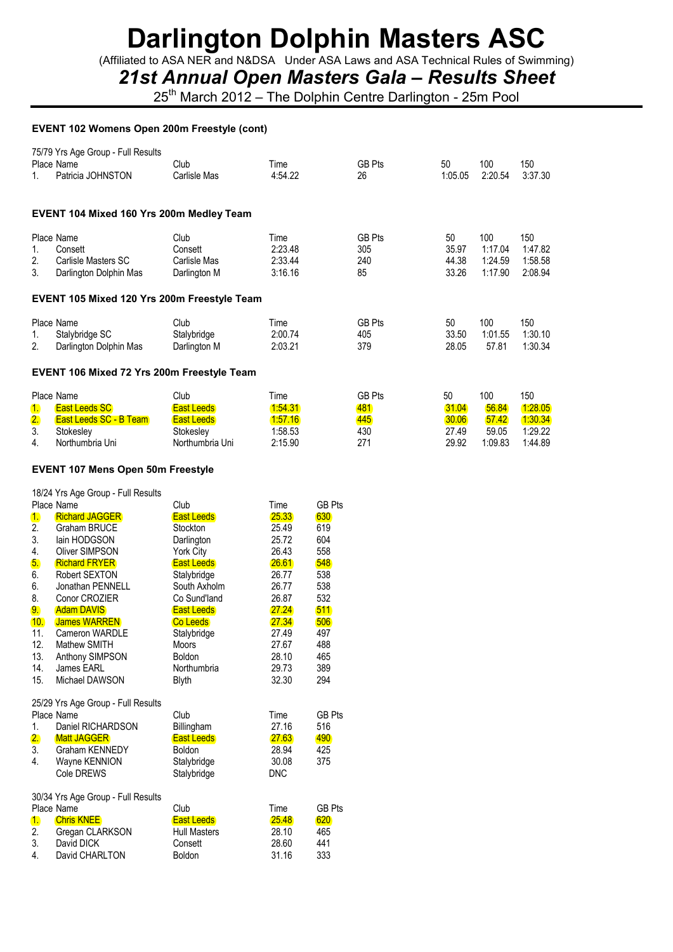(Affiliated to ASA NER and N&DSA Under ASA Laws and ASA Technical Rules of Swimming)

### *21st Annual Open Masters Gala – Results Sheet*

25<sup>th</sup> March 2012 – The Dolphin Centre Darlington - 25m Pool

#### **EVENT 102 Womens Open 200m Freestyle (cont)**

| 1.                                                | 75/79 Yrs Age Group - Full Results<br>Place Name<br>Patricia JOHNSTON            | Club<br>Carlisle Mas                                        | Time<br>4:54.22                       | <b>GB Pts</b><br>26                | 50<br>1:05.05                 | 100<br>2:20.54                       | 150<br>3:37.30                       |  |
|---------------------------------------------------|----------------------------------------------------------------------------------|-------------------------------------------------------------|---------------------------------------|------------------------------------|-------------------------------|--------------------------------------|--------------------------------------|--|
|                                                   | EVENT 104 Mixed 160 Yrs 200m Medley Team                                         |                                                             |                                       |                                    |                               |                                      |                                      |  |
| 1.<br>2.<br>3.                                    | Place Name<br>Consett<br>Carlisle Masters SC<br>Darlington Dolphin Mas           | Club<br>Consett<br>Carlisle Mas<br>Darlington M             | Time<br>2:23.48<br>2:33.44<br>3:16.16 | <b>GB Pts</b><br>305<br>240<br>85  | 50<br>35.97<br>44.38<br>33.26 | 100<br>1:17.04<br>1:24.59<br>1:17.90 | 150<br>1:47.82<br>1:58.58<br>2:08.94 |  |
|                                                   | <b>EVENT 105 Mixed 120 Yrs 200m Freestyle Team</b>                               |                                                             |                                       |                                    |                               |                                      |                                      |  |
| 1.<br>2.                                          | Place Name<br>Stalybridge SC<br>Darlington Dolphin Mas                           | Club<br>Stalybridge<br>Darlington M                         | Time<br>2:00.74<br>2:03.21            | <b>GB Pts</b><br>405<br>379        | 50<br>33.50<br>28.05          | 100<br>1:01.55<br>57.81              | 150<br>1:30.10<br>1:30.34            |  |
| <b>EVENT 106 Mixed 72 Yrs 200m Freestyle Team</b> |                                                                                  |                                                             |                                       |                                    |                               |                                      |                                      |  |
| 1.<br>2.<br>3.                                    | Place Name<br><b>East Leeds SC</b><br><b>East Leeds SC - B Team</b><br>Stokesley | Club<br><b>East Leeds</b><br><b>East Leeds</b><br>Stokesley | Time<br>1:54.31<br>1:57.16<br>1:58.53 | <b>GB Pts</b><br>481<br>445<br>430 | 50<br>31.04<br>30.06<br>27.49 | 100<br>56.84<br>57.42<br>59.05       | 150<br>1:28.05<br>1:30.34<br>1:29.22 |  |

4. Northumbria Uni Northumbria Uni 2:15.90 271 29.92 1:09.83 1:44.89

### **EVENT 107 Mens Open 50m Freestyle**

| 18/24 Yrs Age Group - Full Results |  |
|------------------------------------|--|
|------------------------------------|--|

|           | Place Name                         | Club                | Time       | <b>GB Pts</b> |
|-----------|------------------------------------|---------------------|------------|---------------|
| 1.        | <b>Richard JAGGER</b>              | <b>East Leeds</b>   | 25.33      | 630           |
| 2.        | Graham BRUCE                       | Stockton            | 25.49      | 619           |
| 3.        | lain HODGSON                       | Darlington          | 25.72      | 604           |
| 4.        | Oliver SIMPSON                     | York City           | 26.43      | 558           |
| 5.        | <b>Richard FRYER</b>               | <b>East Leeds</b>   | 26.61      | 548           |
| 6.        | Robert SEXTON                      | Stalybridge         | 26.77      | 538           |
| 6.        | Jonathan PENNELL                   | South Axholm        | 26.77      | 538           |
| 8.        | Conor CROZIER                      | Co Sund'land        | 26.87      | 532           |
| 9.        | <b>Adam DAVIS</b>                  | <b>East Leeds</b>   | 27.24      | 511           |
| 10.       | <b>James WARREN</b>                | <b>Co Leeds</b>     | 27.34      | 506           |
| 11.       | Cameron WARDLE                     | Stalybridge         | 27.49      | 497           |
| 12.       | Mathew SMITH                       | <b>Moors</b>        | 27.67      | 488           |
| 13.       | Anthony SIMPSON                    | Boldon              | 28.10      | 465           |
| 14.       | James EARL                         | Northumbria         | 29.73      | 389           |
| 15.       | Michael DAWSON                     | <b>Blyth</b>        | 32.30      | 294           |
|           | 25/29 Yrs Age Group - Full Results |                     |            |               |
|           | Place Name                         | Club                | Time       | <b>GB Pts</b> |
| 1.        | Daniel RICHARDSON                  | Billingham          | 27.16      | 516           |
| 2.        | <b>Matt JAGGER</b>                 | <b>East Leeds</b>   | 27.63      | 490           |
| 3.        | Graham KENNEDY                     | Boldon              | 28.94      | 425           |
| 4.        | Wayne KENNION                      | Stalybridge         | 30.08      | 375           |
|           | Cole DREWS                         | Stalybridge         | <b>DNC</b> |               |
|           | 30/34 Yrs Age Group - Full Results |                     |            |               |
|           | Place Name                         | Club                | Time       | <b>GB Pts</b> |
| <u>1.</u> | <b>Chris KNEE</b>                  | <b>East Leeds</b>   | 25.48      | 620           |
| 2.        | Gregan CLARKSON                    | <b>Hull Masters</b> | 28.10      | 465           |
| 3.        | David DICK                         | Consett             | 28.60      | 441           |
| 4.        | David CHARLTON                     | <b>Boldon</b>       | 31.16      | 333           |
|           |                                    |                     |            |               |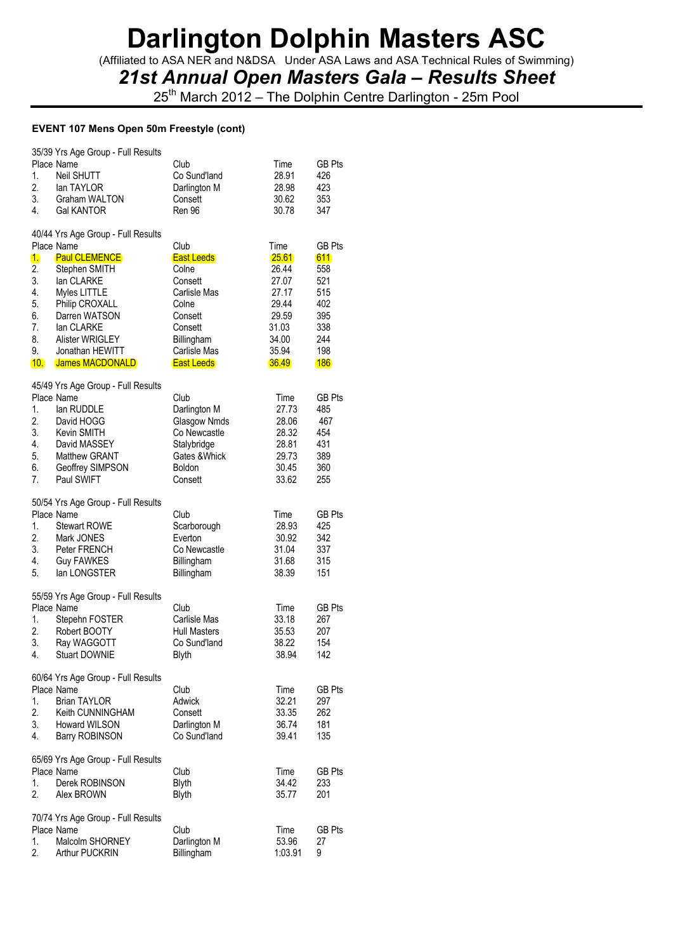(Affiliated to ASA NER and N&DSA Under ASA Laws and ASA Technical Rules of Swimming)

*21st Annual Open Masters Gala – Results Sheet*

25<sup>th</sup> March 2012 – The Dolphin Centre Darlington - 25m Pool

### **EVENT 107 Mens Open 50m Freestyle (cont)**

| 1.<br>2.<br>3.<br>4.                                      | 35/39 Yrs Age Group - Full Results<br>Place Name<br><b>Neil SHUTT</b><br>lan TAYLOR<br>Graham WALTON<br><b>Gal KANTOR</b>                                                                                                                | Club<br>Co Sund'land<br>Darlington M<br>Consett<br>Ren 96                                                                                       | Time<br>28.91<br>28.98<br>30.62<br>30.78                                                       | <b>GB Pts</b><br>426<br>423<br>353<br>347                                                  |
|-----------------------------------------------------------|------------------------------------------------------------------------------------------------------------------------------------------------------------------------------------------------------------------------------------------|-------------------------------------------------------------------------------------------------------------------------------------------------|------------------------------------------------------------------------------------------------|--------------------------------------------------------------------------------------------|
| 1.<br>2.<br>3.<br>4.<br>5.<br>6.<br>7.<br>8.<br>9.<br>10. | 40/44 Yrs Age Group - Full Results<br>Place Name<br><b>Paul CLEMENCE</b><br>Stephen SMITH<br>lan CLARKE<br>Myles LITTLE<br>Philip CROXALL<br>Darren WATSON<br>lan CLARKE<br>Alister WRIGLEY<br>Jonathan HEWITT<br><b>James MACDONALD</b> | Club<br><b>East Leeds</b><br>Colne<br>Consett<br>Carlisle Mas<br>Colne<br>Consett<br>Consett<br>Billingham<br>Carlisle Mas<br><b>East Leeds</b> | Time<br>25.61<br>26.44<br>27.07<br>27.17<br>29.44<br>29.59<br>31.03<br>34.00<br>35.94<br>36.49 | <b>GB Pts</b><br>611<br>558<br>521<br>515<br>402<br>395<br>338<br>244<br>198<br><b>186</b> |
| 1.<br>2.<br>3.<br>4.<br>5.<br>6.<br>7.                    | 45/49 Yrs Age Group - Full Results<br>Place Name<br>lan RUDDLE<br>David HOGG<br>Kevin SMITH<br>David MASSEY<br><b>Matthew GRANT</b><br>Geoffrey SIMPSON<br>Paul SWIFT                                                                    | Club<br>Darlington M<br>Glasgow Nmds<br>Co Newcastle<br>Stalybridge<br>Gates & Whick<br><b>Boldon</b><br>Consett                                | Time<br>27.73<br>28.06<br>28.32<br>28.81<br>29.73<br>30.45<br>33.62                            | GB Pts<br>485<br>467<br>454<br>431<br>389<br>360<br>255                                    |
| 1.<br>2.<br>3.<br>4.<br>5.                                | 50/54 Yrs Age Group - Full Results<br>Place Name<br><b>Stewart ROWE</b><br>Mark JONES<br>Peter FRENCH<br><b>Guy FAWKES</b><br>lan LONGSTER                                                                                               | Club<br>Scarborough<br>Everton<br>Co Newcastle<br>Billingham<br>Billingham                                                                      | Time<br>28.93<br>30.92<br>31.04<br>31.68<br>38.39                                              | <b>GB Pts</b><br>425<br>342<br>337<br>315<br>151                                           |
| 1.<br>2.<br>3.<br>4.                                      | 55/59 Yrs Age Group - Full Results<br>Place Name<br>Stepehn FOSTER<br>Robert BOOTY<br>Ray WAGGOTT<br><b>Stuart DOWNIE</b>                                                                                                                | Club<br>Carlisle Mas<br><b>Hull Masters</b><br>Co Sund'land<br>Blyth                                                                            | Time<br>33.18<br>35.53<br>38.22<br>38.94                                                       | GB Pts<br>267<br>207<br>154<br>142                                                         |
| 1.<br>2.<br>3.<br>4.                                      | 60/64 Yrs Age Group - Full Results<br>Place Name<br><b>Brian TAYLOR</b><br>Keith CUNNINGHAM<br>Howard WILSON<br>Barry ROBINSON                                                                                                           | Club<br>Adwick<br>Consett<br>Darlington M<br>Co Sund'land                                                                                       | Time<br>32.21<br>33.35<br>36.74<br>39.41                                                       | GB Pts<br>297<br>262<br>181<br>135                                                         |
| 1.<br>2.                                                  | 65/69 Yrs Age Group - Full Results<br>Place Name<br>Derek ROBINSON<br>Alex BROWN                                                                                                                                                         | Club<br><b>Blyth</b><br>Blyth                                                                                                                   | Time<br>34.42<br>35.77                                                                         | GB Pts<br>233<br>201                                                                       |
| 1.<br>2.                                                  | 70/74 Yrs Age Group - Full Results<br>Place Name<br>Malcolm SHORNEY<br>Arthur PUCKRIN                                                                                                                                                    | Club<br>Darlington M<br>Billingham                                                                                                              | Time<br>53.96<br>1:03.91                                                                       | GB Pts<br>27<br>9                                                                          |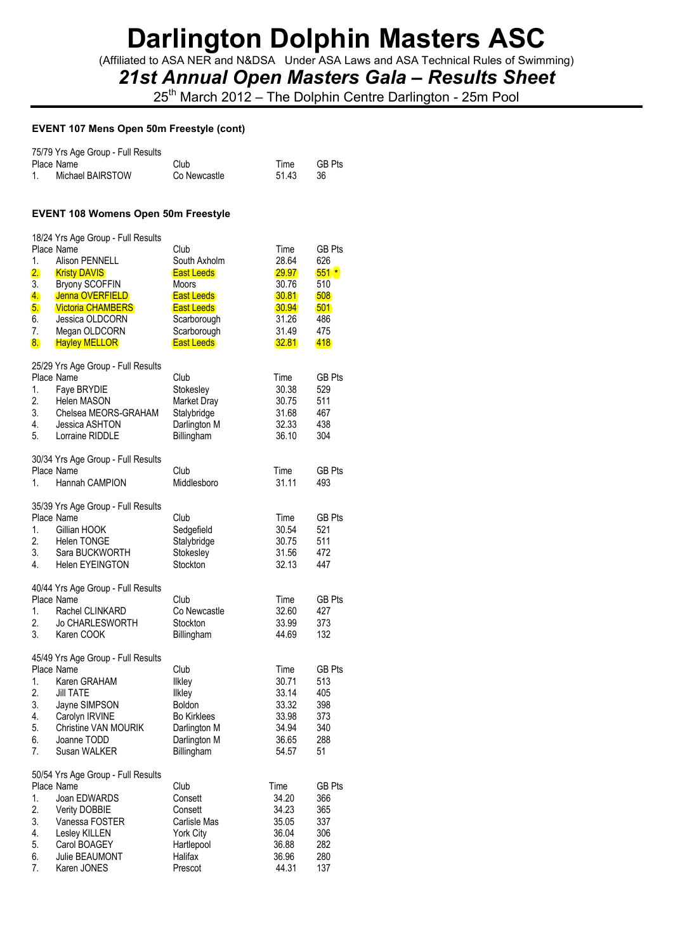(Affiliated to ASA NER and N&DSA Under ASA Laws and ASA Technical Rules of Swimming)

### *21st Annual Open Masters Gala – Results Sheet*

25<sup>th</sup> March 2012 – The Dolphin Centre Darlington - 25m Pool

#### **EVENT 107 Mens Open 50m Freestyle (cont)**

| 75/79 Yrs Age Group - Full Results<br>Place Name<br>1.<br>Michael BAIRSTOW                                                                                                                                                                                                                       | Club<br>Co Newcastle                                                                                                                            | Time<br>51.43                                                                       | <b>GB Pts</b><br>36                                                      |
|--------------------------------------------------------------------------------------------------------------------------------------------------------------------------------------------------------------------------------------------------------------------------------------------------|-------------------------------------------------------------------------------------------------------------------------------------------------|-------------------------------------------------------------------------------------|--------------------------------------------------------------------------|
| <b>EVENT 108 Womens Open 50m Freestyle</b>                                                                                                                                                                                                                                                       |                                                                                                                                                 |                                                                                     |                                                                          |
| 18/24 Yrs Age Group - Full Results<br>Place Name<br>1.<br><b>Alison PENNELL</b><br>2.<br><b>Kristy DAVIS</b><br>3.<br><b>Bryony SCOFFIN</b><br>Jenna OVERFIELD<br>4.<br><b>Victoria CHAMBERS</b><br>5.<br>6.<br>Jessica OLDCORN<br>7.<br>Megan OLDCORN<br>8 <sub>1</sub><br><b>Hayley MELLOR</b> | Club<br>South Axholm<br><b>East Leeds</b><br>Moors<br><b>East Leeds</b><br><b>East Leeds</b><br>Scarborough<br>Scarborough<br><b>East Leeds</b> | Time<br>28.64<br><b>29.97</b><br>30.76<br>30.81<br>30.94<br>31.26<br>31.49<br>32.81 | <b>GB Pts</b><br>626<br>$551*$<br>510<br>508<br>501<br>486<br>475<br>418 |
| 25/29 Yrs Age Group - Full Results<br>Place Name<br>1.<br>Faye BRYDIE<br>2.<br><b>Helen MASON</b><br>3.<br>Chelsea MEORS-GRAHAM<br>4.<br>Jessica ASHTON<br>5.<br>Lorraine RIDDLE                                                                                                                 | Club<br>Stokesley<br>Market Dray<br>Stalybridge<br>Darlington M<br>Billingham                                                                   | Time<br>30.38<br>30.75<br>31.68<br>32.33<br>36.10                                   | <b>GB Pts</b><br>529<br>511<br>467<br>438<br>304                         |
| 30/34 Yrs Age Group - Full Results<br>Place Name<br>Hannah CAMPION<br>1.                                                                                                                                                                                                                         | Club<br>Middlesboro                                                                                                                             | Time<br>31.11                                                                       | <b>GB Pts</b><br>493                                                     |
| 35/39 Yrs Age Group - Full Results<br>Place Name<br>1.<br>Gillian HOOK<br>2.<br><b>Helen TONGE</b><br>3.<br>Sara BUCKWORTH<br>4.<br><b>Helen EYEINGTON</b>                                                                                                                                       | Club<br>Sedgefield<br>Stalybridge<br>Stokesley<br>Stockton                                                                                      | Time<br>30.54<br>30.75<br>31.56<br>32.13                                            | <b>GB Pts</b><br>521<br>511<br>472<br>447                                |
| 40/44 Yrs Age Group - Full Results<br>Place Name<br>1.<br>Rachel CLINKARD<br>2.<br><b>Jo CHARLESWORTH</b><br>3.<br>Karen COOK                                                                                                                                                                    | Club<br>Co Newcastle<br>Stockton<br>Billingham                                                                                                  | Time<br>32.60<br>33.99<br>44.69                                                     | <b>GB Pts</b><br>427<br>373<br>132                                       |
| 45/49 Yrs Age Group - Full Results<br>Place Name<br>1.<br>Karen GRAHAM<br>2.<br><b>Jill TATE</b><br>3.<br>Jayne SIMPSON<br>4.<br>Carolyn IRVINE<br>5.<br><b>Christine VAN MOURIK</b><br>6.<br>Joanne TODD<br>7.<br>Susan WALKER                                                                  | Club<br>llkley<br><b>Ilkley</b><br><b>Boldon</b><br><b>Bo Kirklees</b><br>Darlington M<br>Darlington M<br>Billingham                            | Time<br>30.71<br>33.14<br>33.32<br>33.98<br>34.94<br>36.65<br>54.57                 | GB Pts<br>513<br>405<br>398<br>373<br>340<br>288<br>51                   |
| 50/54 Yrs Age Group - Full Results<br>Place Name<br>Joan EDWARDS<br>1.<br>2.<br>Verity DOBBIE<br>3.<br>Vanessa FOSTER<br>4.<br>Lesley KILLEN<br>5.<br>Carol BOAGEY<br>6.<br>Julie BEAUMONT<br>7.<br>Karen JONES                                                                                  | Club<br>Consett<br>Consett<br>Carlisle Mas<br><b>York City</b><br>Hartlepool<br>Halifax<br>Prescot                                              | Time<br>34.20<br>34.23<br>35.05<br>36.04<br>36.88<br>36.96<br>44.31                 | <b>GB Pts</b><br>366<br>365<br>337<br>306<br>282<br>280<br>137           |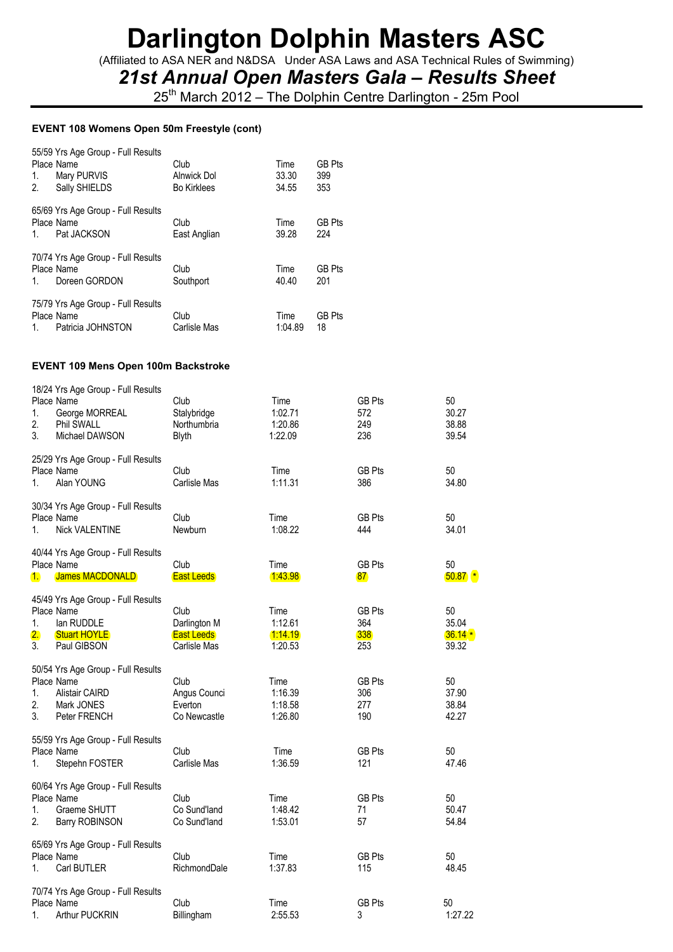(Affiliated to ASA NER and N&DSA Under ASA Laws and ASA Technical Rules of Swimming)

### *21st Annual Open Masters Gala – Results Sheet*

25<sup>th</sup> March 2012 – The Dolphin Centre Darlington - 25m Pool

#### **EVENT 108 Womens Open 50m Freestyle (cont)**

| Place Name | 55/59 Yrs Age Group - Full Results | Club               | Time    | <b>GB Pts</b> |
|------------|------------------------------------|--------------------|---------|---------------|
| 1.         | Mary PURVIS                        | Alnwick Dol        | 33.30   | 399           |
| 2.         | Sally SHIELDS                      | <b>Bo Kirklees</b> | 34.55   | 353           |
| Place Name | 65/69 Yrs Age Group - Full Results | Club               | Time    | <b>GB Pts</b> |
| 1.         | Pat JACKSON                        | East Anglian       | 39.28   | 224           |
| Place Name | 70/74 Yrs Age Group - Full Results | Club               | Time    | <b>GB Pts</b> |
| 1.         | Doreen GORDON                      | Southport          | 40.40   | 201           |
| Place Name | 75/79 Yrs Age Group - Full Results | Club               | Time    | <b>GB Pts</b> |
| 1.         | Patricia JOHNSTON                  | Carlisle Mas       | 1:04.89 | 18            |

#### **EVENT 109 Mens Open 100m Backstroke**

| 1.<br>2.<br>3. | 18/24 Yrs Age Group - Full Results<br>Place Name<br>George MORREAL<br>Phil SWALL<br>Michael DAWSON      | Club<br>Stalybridge<br>Northumbria<br><b>Blyth</b>        | Time<br>1:02.71<br>1:20.86<br>1:22.09 | <b>GB Pts</b><br>572<br>249<br>236 | 50<br>30.27<br>38.88<br>39.54    |
|----------------|---------------------------------------------------------------------------------------------------------|-----------------------------------------------------------|---------------------------------------|------------------------------------|----------------------------------|
| 1.             | 25/29 Yrs Age Group - Full Results<br>Place Name<br>Alan YOUNG                                          | Club<br>Carlisle Mas                                      | Time<br>1:11.31                       | <b>GB Pts</b><br>386               | 50<br>34.80                      |
| 1.             | 30/34 Yrs Age Group - Full Results<br>Place Name<br><b>Nick VALENTINE</b>                               | Club<br>Newburn                                           | Time<br>1:08.22                       | <b>GB Pts</b><br>444               | 50<br>34.01                      |
| $\mathbf{1}$   | 40/44 Yrs Age Group - Full Results<br>Place Name<br>James MACDONALD                                     | Club<br><b>East Leeds</b>                                 | Time<br>1:43.98                       | <b>GB Pts</b><br>87                | 50<br>$50.87$ $*$                |
| 1.<br>2.<br>3. | 45/49 Yrs Age Group - Full Results<br>Place Name<br>lan RUDDLE<br><b>Stuart HOYLE</b><br>Paul GIBSON    | Club<br>Darlington M<br><b>East Leeds</b><br>Carlisle Mas | Time<br>1:12.61<br>1:14.19<br>1:20.53 | <b>GB Pts</b><br>364<br>338<br>253 | 50<br>35.04<br>$36.14*$<br>39.32 |
| 1.<br>2.<br>3. | 50/54 Yrs Age Group - Full Results<br>Place Name<br><b>Alistair CAIRD</b><br>Mark JONES<br>Peter FRENCH | Club<br>Angus Counci<br>Everton<br>Co Newcastle           | Time<br>1:16.39<br>1:18.58<br>1:26.80 | <b>GB Pts</b><br>306<br>277<br>190 | 50<br>37.90<br>38.84<br>42.27    |
| 1.             | 55/59 Yrs Age Group - Full Results<br>Place Name<br>Stepehn FOSTER                                      | Club<br>Carlisle Mas                                      | Time<br>1:36.59                       | <b>GB Pts</b><br>121               | 50<br>47.46                      |
| 1.<br>2.       | 60/64 Yrs Age Group - Full Results<br>Place Name<br>Graeme SHUTT<br>Barry ROBINSON                      | Club<br>Co Sund'land<br>Co Sund'land                      | Time<br>1:48.42<br>1:53.01            | <b>GB Pts</b><br>71<br>57          | 50<br>50.47<br>54.84             |
| 1.             | 65/69 Yrs Age Group - Full Results<br>Place Name<br>Carl BUTLER                                         | Club<br>RichmondDale                                      | Time<br>1:37.83                       | <b>GB Pts</b><br>115               | 50<br>48.45                      |
| 1.             | 70/74 Yrs Age Group - Full Results<br>Place Name<br><b>Arthur PUCKRIN</b>                               | Club<br>Billingham                                        | Time<br>2:55.53                       | <b>GB Pts</b><br>3                 | 50<br>1:27.22                    |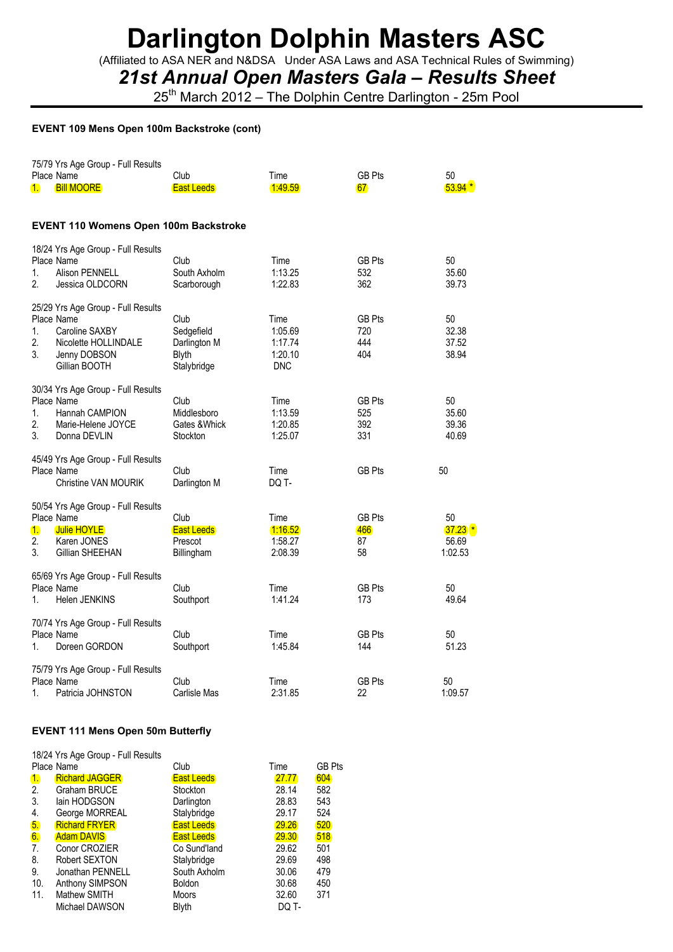(Affiliated to ASA NER and N&DSA Under ASA Laws and ASA Technical Rules of Swimming)

*21st Annual Open Masters Gala – Results Sheet*

25<sup>th</sup> March 2012 – The Dolphin Centre Darlington - 25m Pool

#### **EVENT 109 Mens Open 100m Backstroke (cont)**

| $\mathbf{1}$ .               | 75/79 Yrs Age Group - Full Results<br>Place Name<br><b>Bill MOORE</b>                                                       | Club<br><b>East Leeds</b>                                  | Time<br>1:49.59                                     | <b>GB Pts</b><br>67                | 50<br>$53.94*$                        |
|------------------------------|-----------------------------------------------------------------------------------------------------------------------------|------------------------------------------------------------|-----------------------------------------------------|------------------------------------|---------------------------------------|
|                              | <b>EVENT 110 Womens Open 100m Backstroke</b>                                                                                |                                                            |                                                     |                                    |                                       |
| 1.<br>2.                     | 18/24 Yrs Age Group - Full Results<br>Place Name<br><b>Alison PENNELL</b><br>Jessica OLDCORN                                | Club<br>South Axholm<br>Scarborough                        | Time<br>1:13.25<br>1:22.83                          | <b>GB Pts</b><br>532<br>362        | 50<br>35.60<br>39.73                  |
| 1.<br>2.<br>3.               | 25/29 Yrs Age Group - Full Results<br>Place Name<br>Caroline SAXBY<br>Nicolette HOLLINDALE<br>Jenny DOBSON<br>Gillian BOOTH | Club<br>Sedgefield<br>Darlington M<br>Blyth<br>Stalybridge | Time<br>1:05.69<br>1:17.74<br>1:20.10<br><b>DNC</b> | GB Pts<br>720<br>444<br>404        | 50<br>32.38<br>37.52<br>38.94         |
| 1.<br>$\overline{2}$ .<br>3. | 30/34 Yrs Age Group - Full Results<br>Place Name<br>Hannah CAMPION<br>Marie-Helene JOYCE<br>Donna DEVLIN                    | Club<br>Middlesboro<br>Gates & Whick<br>Stockton           | Time<br>1:13.59<br>1:20.85<br>1:25.07               | <b>GB Pts</b><br>525<br>392<br>331 | 50<br>35.60<br>39.36<br>40.69         |
|                              | 45/49 Yrs Age Group - Full Results<br>Place Name<br><b>Christine VAN MOURIK</b>                                             | Club<br>Darlington M                                       | Time<br>DQ T-                                       | <b>GB Pts</b>                      | 50                                    |
| $\mathbf{1}$<br>2.<br>3.     | 50/54 Yrs Age Group - Full Results<br>Place Name<br><b>Julie HOYLE</b><br>Karen JONES<br>Gillian SHEEHAN                    | Club<br><b>East Leeds</b><br>Prescot<br>Billingham         | Time<br>1:16.52<br>1:58.27<br>2:08.39               | GB Pts<br>466<br>87<br>58          | 50<br>$37.23$ $*$<br>56.69<br>1:02.53 |
| 1.                           | 65/69 Yrs Age Group - Full Results<br>Place Name<br>Helen JENKINS                                                           | Club<br>Southport                                          | Time<br>1:41.24                                     | <b>GB Pts</b><br>173               | 50<br>49.64                           |
| 1.                           | 70/74 Yrs Age Group - Full Results<br>Place Name<br>Doreen GORDON                                                           | Club<br>Southport                                          | Time<br>1:45.84                                     | <b>GB Pts</b><br>144               | 50<br>51.23                           |
| 1.                           | 75/79 Yrs Age Group - Full Results<br>Place Name<br>Patricia JOHNSTON                                                       | Club<br>Carlisle Mas                                       | Time<br>2:31.85                                     | <b>GB Pts</b><br>22                | 50<br>1:09.57                         |

### **EVENT 111 Mens Open 50m Butterfly**

|              | 18/24 Yrs Age Group - Full Results |                   |       |               |
|--------------|------------------------------------|-------------------|-------|---------------|
|              | Place Name                         | Club              | Time  | <b>GB Pts</b> |
| $\mathbf{1}$ | <b>Richard JAGGER</b>              | <b>East Leeds</b> | 27.77 | 604           |
| 2.           | Graham BRUCE                       | Stockton          | 28.14 | 582           |
| 3.           | lain HODGSON                       | Darlington        | 28.83 | 543           |
| 4.           | George MORREAL                     | Stalybridge       | 29.17 | 524           |
| 5.           | <b>Richard FRYER</b>               | <b>East Leeds</b> | 29.26 | 520           |
| 6.           | <b>Adam DAVIS</b>                  | <b>East Leeds</b> | 29.30 | 518           |
| 7.           | Conor CROZIER                      | Co Sund'land      | 29.62 | 501           |
| 8.           | Robert SEXTON                      | Stalybridge       | 29.69 | 498           |
| 9.           | Jonathan PENNELL                   | South Axholm      | 30.06 | 479           |
| 10.          | Anthony SIMPSON                    | <b>Boldon</b>     | 30.68 | 450           |
| 11.          | Mathew SMITH                       | <b>Moors</b>      | 32.60 | 371           |
|              | Michael DAWSON                     | Blyth             | DQ T- |               |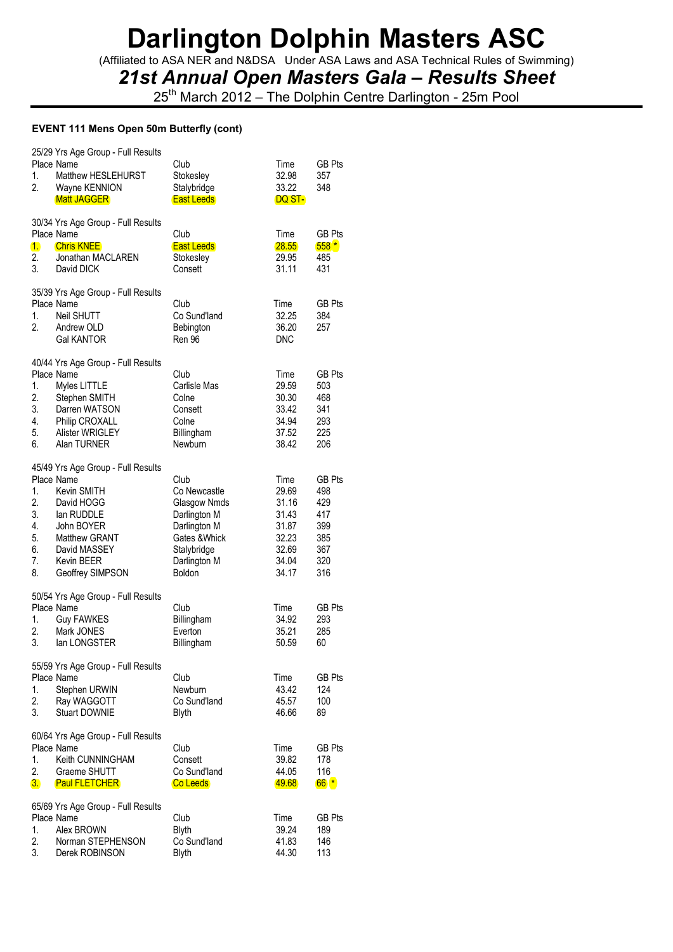(Affiliated to ASA NER and N&DSA Under ASA Laws and ASA Technical Rules of Swimming)

### *21st Annual Open Masters Gala – Results Sheet*

25<sup>th</sup> March 2012 – The Dolphin Centre Darlington - 25m Pool

### **EVENT 111 Mens Open 50m Butterfly (cont)**

| 1.<br>2.                                     | 25/29 Yrs Age Group - Full Results<br>Place Name<br>Matthew HESLEHURST<br>Wayne KENNION<br><b>Matt JAGGER</b>                                                                              | Club<br>Stokesley<br>Stalybridge<br><b>East Leeds</b>                                                                                 | Time<br>32.98<br>33.22<br>DQ ST-                                             | <b>GB Pts</b><br>357<br>348                                           |
|----------------------------------------------|--------------------------------------------------------------------------------------------------------------------------------------------------------------------------------------------|---------------------------------------------------------------------------------------------------------------------------------------|------------------------------------------------------------------------------|-----------------------------------------------------------------------|
| $\mathbf{1}$<br>2.<br>3.                     | 30/34 Yrs Age Group - Full Results<br>Place Name<br><b>Chris KNEE</b><br>Jonathan MACLAREN<br>David DICK                                                                                   | Club<br><b>East Leeds</b><br>Stokesley<br>Consett                                                                                     | Time<br>28.55<br>29.95<br>31.11                                              | GB Pts<br>$558*$<br>485<br>431                                        |
| 1.<br>2.                                     | 35/39 Yrs Age Group - Full Results<br>Place Name<br>Neil SHUTT<br>Andrew OLD<br><b>Gal KANTOR</b>                                                                                          | Club<br>Co Sund'land<br>Bebington<br><b>Ren 96</b>                                                                                    | Time<br>32.25<br>36.20<br><b>DNC</b>                                         | <b>GB Pts</b><br>384<br>257                                           |
| 1.<br>2.<br>3.<br>4.<br>5.<br>6.             | 40/44 Yrs Age Group - Full Results<br>Place Name<br>Myles LITTLE<br>Stephen SMITH<br>Darren WATSON<br>Philip CROXALL<br>Alister WRIGLEY<br>Alan TURNER                                     | Club<br>Carlisle Mas<br>Colne<br>Consett<br>Colne<br>Billingham<br>Newburn                                                            | Time<br>29.59<br>30.30<br>33.42<br>34.94<br>37.52<br>38.42                   | <b>GB Pts</b><br>503<br>468<br>341<br>293<br>225<br>206               |
| 1.<br>2.<br>3.<br>4.<br>5.<br>6.<br>7.<br>8. | 45/49 Yrs Age Group - Full Results<br>Place Name<br>Kevin SMITH<br>David HOGG<br>lan RUDDLE<br>John BOYER<br><b>Matthew GRANT</b><br>David MASSEY<br><b>Kevin BEER</b><br>Geoffrey SIMPSON | Club<br>Co Newcastle<br>Glasgow Nmds<br>Darlington M<br>Darlington M<br>Gates & Whick<br>Stalybridge<br>Darlington M<br><b>Boldon</b> | Time<br>29.69<br>31.16<br>31.43<br>31.87<br>32.23<br>32.69<br>34.04<br>34.17 | <b>GB Pts</b><br>498<br>429<br>417<br>399<br>385<br>367<br>320<br>316 |
| 1.<br>2.<br>3.                               | 50/54 Yrs Age Group - Full Results<br>Place Name<br><b>Guy FAWKES</b><br>Mark JONES<br>lan LONGSTER                                                                                        | Club<br>Billingham<br>Everton<br>Billingham                                                                                           | Time<br>34.92<br>35.21<br>50.59                                              | <b>GB Pts</b><br>293<br>285<br>60                                     |
| 1.<br>2.<br>3.                               | 55/59 Yrs Age Group - Full Results<br>Place Name<br>Stephen URWIN<br>Ray WAGGOTT<br><b>Stuart DOWNIE</b>                                                                                   | Club<br>Newburn<br>Co Sund'land<br>Blyth                                                                                              | Time<br>43.42<br>45.57<br>46.66                                              | GB Pts<br>124<br>100<br>89                                            |
| 1.<br>2.<br>3.                               | 60/64 Yrs Age Group - Full Results<br>Place Name<br>Keith CUNNINGHAM<br>Graeme SHUTT<br><b>Paul FLETCHER</b>                                                                               | Club<br>Consett<br>Co Sund'land<br>Co Leeds                                                                                           | Time<br>39.82<br>44.05<br>49.68                                              | <b>GB Pts</b><br>178<br>116<br>$66*$                                  |
| 1.<br>2.<br>3.                               | 65/69 Yrs Age Group - Full Results<br>Place Name<br>Alex BROWN<br>Norman STEPHENSON<br>Derek ROBINSON                                                                                      | Club<br><b>Blyth</b><br>Co Sund'land<br><b>Blyth</b>                                                                                  | Time<br>39.24<br>41.83<br>44.30                                              | <b>GB Pts</b><br>189<br>146<br>113                                    |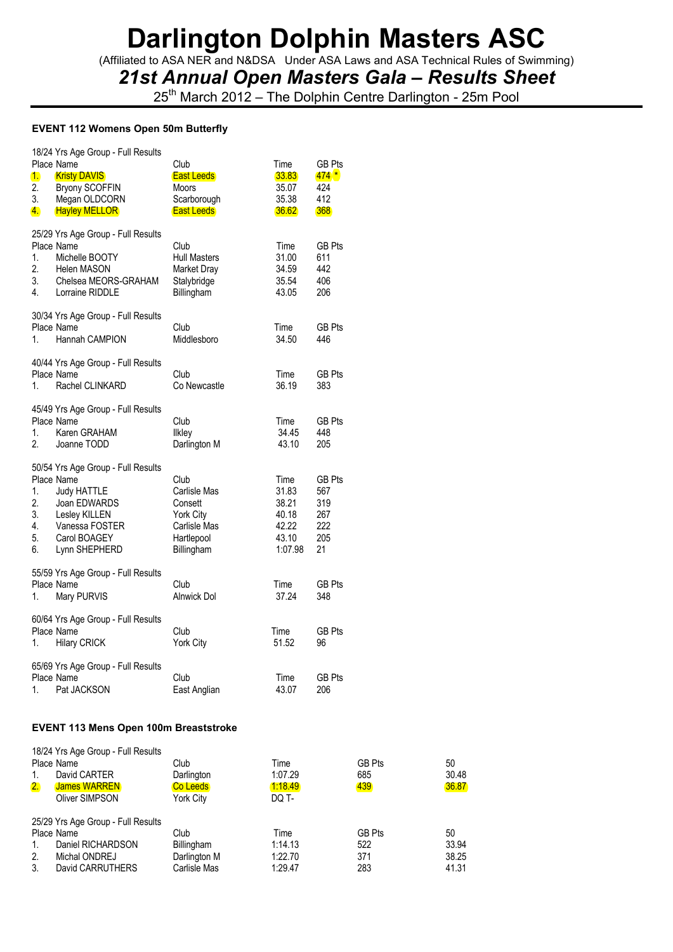(Affiliated to ASA NER and N&DSA Under ASA Laws and ASA Technical Rules of Swimming)

### *21st Annual Open Masters Gala – Results Sheet*

25<sup>th</sup> March 2012 – The Dolphin Centre Darlington - 25m Pool

### **EVENT 112 Womens Open 50m Butterfly**

| 1.<br>2.<br>3.<br>4.             | 18/24 Yrs Age Group - Full Results<br>Place Name<br><b>Kristy DAVIS</b><br><b>Bryony SCOFFIN</b><br>Megan OLDCORN<br><b>Hayley MELLOR</b>                  | Club<br><b>East Leeds</b><br><b>Moors</b><br>Scarborough<br><b>East Leeds</b>                   | Time<br>33.83<br>35.07<br>35.38<br>36.62                     | <b>GB Pts</b><br>$474*$<br>424<br>412<br>368           |
|----------------------------------|------------------------------------------------------------------------------------------------------------------------------------------------------------|-------------------------------------------------------------------------------------------------|--------------------------------------------------------------|--------------------------------------------------------|
| 1.<br>2.<br>3.<br>4.             | 25/29 Yrs Age Group - Full Results<br>Place Name<br>Michelle BOOTY<br><b>Helen MASON</b><br>Chelsea MEORS-GRAHAM<br>Lorraine RIDDLE                        | Club<br><b>Hull Masters</b><br>Market Dray<br>Stalybridge<br>Billingham                         | Time<br>31.00<br>34.59<br>35.54<br>43.05                     | <b>GB Pts</b><br>611<br>442<br>406<br>206              |
| 1.                               | 30/34 Yrs Age Group - Full Results<br>Place Name<br>Hannah CAMPION                                                                                         | Club<br>Middlesboro                                                                             | Time<br>34.50                                                | <b>GB Pts</b><br>446                                   |
| 1.                               | 40/44 Yrs Age Group - Full Results<br>Place Name<br>Rachel CLINKARD                                                                                        | Club<br>Co Newcastle                                                                            | Time<br>36.19                                                | <b>GB Pts</b><br>383                                   |
| 1.<br>2.                         | 45/49 Yrs Age Group - Full Results<br>Place Name<br>Karen GRAHAM<br>Joanne TODD                                                                            | Club<br>Ilkley<br>Darlington M                                                                  | Time<br>34.45<br>43.10                                       | GB Pts<br>448<br>205                                   |
| 1.<br>2.<br>3.<br>4.<br>5.<br>6. | 50/54 Yrs Age Group - Full Results<br>Place Name<br><b>Judy HATTLE</b><br>Joan EDWARDS<br>Lesley KILLEN<br>Vanessa FOSTER<br>Carol BOAGEY<br>Lynn SHEPHERD | Club<br>Carlisle Mas<br>Consett<br><b>York City</b><br>Carlisle Mas<br>Hartlepool<br>Billingham | Time<br>31.83<br>38.21<br>40.18<br>42.22<br>43.10<br>1:07.98 | <b>GB Pts</b><br>567<br>319<br>267<br>222<br>205<br>21 |
| 1.                               | 55/59 Yrs Age Group - Full Results<br>Place Name<br>Mary PURVIS                                                                                            | Club<br>Alnwick Dol                                                                             | Time<br>37.24                                                | <b>GB Pts</b><br>348                                   |
| 1.                               | 60/64 Yrs Age Group - Full Results<br>Place Name<br><b>Hilary CRICK</b>                                                                                    | Club<br>York City                                                                               | Time<br>51.52                                                | <b>GB Pts</b><br>96                                    |
| 1.                               | 65/69 Yrs Age Group - Full Results<br>Place Name<br>Pat JACKSON                                                                                            | Club<br>East Anglian                                                                            | Time<br>43.07                                                | <b>GB Pts</b><br>206                                   |

### **EVENT 113 Mens Open 100m Breaststroke**

| -1.<br>2. | 18/24 Yrs Age Group - Full Results<br>Place Name<br>David CARTER<br><b>James WARREN</b><br>Oliver SIMPSON | Club<br>Darlington<br>Co Leeds<br>York City | Time<br>1:07.29<br>1:18.49<br>DQ T- | <b>GB Pts</b><br>685<br>439 | 50<br>30.48<br>36.87 |
|-----------|-----------------------------------------------------------------------------------------------------------|---------------------------------------------|-------------------------------------|-----------------------------|----------------------|
| 1.<br>2.  | 25/29 Yrs Age Group - Full Results<br>Place Name<br>Daniel RICHARDSON<br>Michal ONDREJ                    | Club<br>Billingham<br>Darlington M          | Time<br>1:14.13<br>1:22.70          | <b>GB Pts</b><br>522<br>371 | 50<br>33.94<br>38.25 |
| 3.        | David CARRUTHERS                                                                                          | Carlisle Mas                                | 1:29.47                             | 283                         | 41.31                |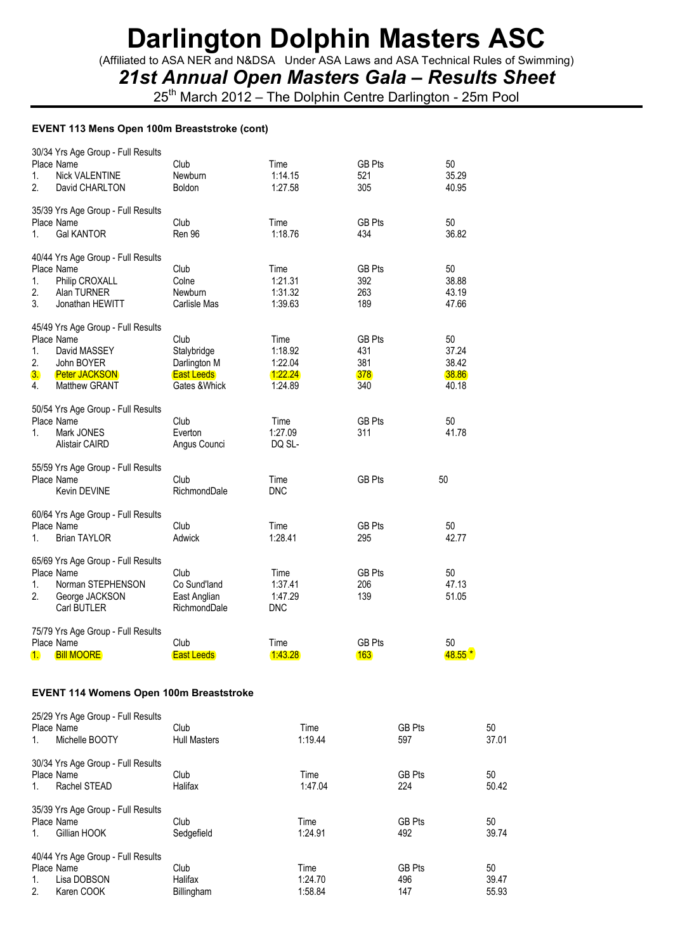(Affiliated to ASA NER and N&DSA Under ASA Laws and ASA Technical Rules of Swimming)

*21st Annual Open Masters Gala – Results Sheet*

25<sup>th</sup> March 2012 – The Dolphin Centre Darlington - 25m Pool

#### **EVENT 113 Mens Open 100m Breaststroke (cont)**

| 1.<br>2.             | 30/34 Yrs Age Group - Full Results<br>Place Name<br><b>Nick VALENTINE</b><br>David CHARLTON                             | Club<br>Newburn<br><b>Boldon</b>                                          | Time<br>1:14.15<br>1:27.58                       | <b>GB Pts</b><br>521<br>305               | 50<br>35.29<br>40.95                   |
|----------------------|-------------------------------------------------------------------------------------------------------------------------|---------------------------------------------------------------------------|--------------------------------------------------|-------------------------------------------|----------------------------------------|
| 1.                   | 35/39 Yrs Age Group - Full Results<br>Place Name<br><b>Gal KANTOR</b>                                                   | Club<br>Ren 96                                                            | Time<br>1:18.76                                  | <b>GB Pts</b><br>434                      | 50<br>36.82                            |
| 1.<br>2.<br>3.       | 40/44 Yrs Age Group - Full Results<br>Place Name<br>Philip CROXALL<br>Alan TURNER<br>Jonathan HEWITT                    | Club<br>Colne<br>Newburn<br>Carlisle Mas                                  | Time<br>1:21.31<br>1:31.32<br>1:39.63            | <b>GB Pts</b><br>392<br>263<br>189        | 50<br>38.88<br>43.19<br>47.66          |
| 1.<br>2.<br>3.<br>4. | 45/49 Yrs Age Group - Full Results<br>Place Name<br>David MASSEY<br>John BOYER<br><b>Peter JACKSON</b><br>Matthew GRANT | Club<br>Stalybridge<br>Darlington M<br><b>East Leeds</b><br>Gates & Whick | Time<br>1:18.92<br>1:22.04<br>1:22.24<br>1:24.89 | <b>GB Pts</b><br>431<br>381<br>378<br>340 | 50<br>37.24<br>38.42<br>38.86<br>40.18 |
| 1.                   | 50/54 Yrs Age Group - Full Results<br>Place Name<br>Mark JONES<br>Alistair CAIRD                                        | Club<br>Everton<br>Angus Counci                                           | Time<br>1:27.09<br>DQ SL-                        | GB Pts<br>311                             | 50<br>41.78                            |
|                      | 55/59 Yrs Age Group - Full Results<br>Place Name<br>Kevin DEVINE                                                        | Club<br>RichmondDale                                                      | Time<br><b>DNC</b>                               | <b>GB Pts</b>                             | 50                                     |
| 1.                   | 60/64 Yrs Age Group - Full Results<br>Place Name<br><b>Brian TAYLOR</b>                                                 | Club<br>Adwick                                                            | Time<br>1:28.41                                  | <b>GB Pts</b><br>295                      | 50<br>42.77                            |
| 1.<br>2.             | 65/69 Yrs Age Group - Full Results<br>Place Name<br>Norman STEPHENSON<br>George JACKSON<br>Carl BUTLER                  | Club<br>Co Sund'land<br>East Anglian<br>RichmondDale                      | Time<br>1:37.41<br>1:47.29<br><b>DNC</b>         | <b>GB Pts</b><br>206<br>139               | 50<br>47.13<br>51.05                   |
| 1.                   | 75/79 Yrs Age Group - Full Results<br>Place Name<br><b>Bill MOORE</b>                                                   | Club<br><b>East Leeds</b>                                                 | Time<br><u> 1:43.28</u>                          | <b>GB Pts</b><br> 163                     | 50<br>$48.55$ *                        |

#### **EVENT 114 Womens Open 100m Breaststroke**

| 1. | 25/29 Yrs Age Group - Full Results<br>Place Name<br>Michelle BOOTY | Club<br><b>Hull Masters</b> | Time<br>1:19.44 | <b>GB Pts</b><br>597 | 50<br>37.01 |
|----|--------------------------------------------------------------------|-----------------------------|-----------------|----------------------|-------------|
| 1. | 30/34 Yrs Age Group - Full Results<br>Place Name<br>Rachel STEAD   | Club<br>Halifax             | Time<br>1:47.04 | <b>GB Pts</b><br>224 | 50<br>50.42 |
|    | 35/39 Yrs Age Group - Full Results<br>Place Name                   | Club                        | Time            | <b>GB Pts</b>        | 50          |
| 1. | Gillian HOOK                                                       | Sedgefield                  | 1:24.91         | 492                  | 39.74       |
|    | 40/44 Yrs Age Group - Full Results                                 |                             |                 |                      |             |
|    | Place Name                                                         | Club                        | Time            | <b>GB Pts</b>        | 50          |
| 1. | Lisa DOBSON                                                        | Halifax                     | 1:24.70         | 496                  | 39.47       |
| 2. | Karen COOK                                                         | Billingham                  | 1:58.84         | 147                  | 55.93       |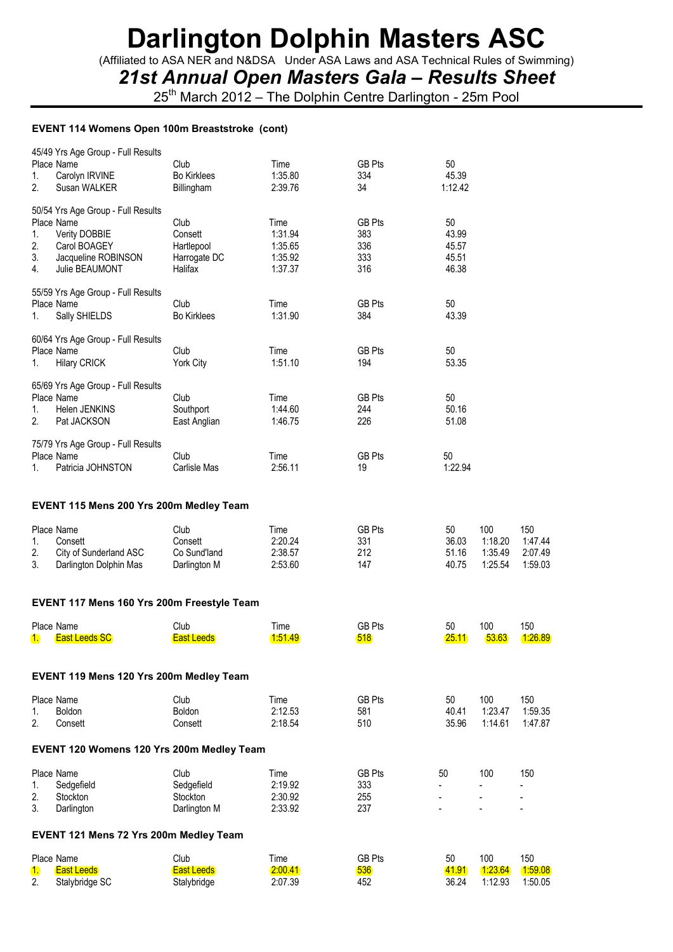(Affiliated to ASA NER and N&DSA Under ASA Laws and ASA Technical Rules of Swimming)

*21st Annual Open Masters Gala – Results Sheet*

25<sup>th</sup> March 2012 – The Dolphin Centre Darlington - 25m Pool

#### **EVENT 114 Womens Open 100m Breaststroke (cont)**

| 1.<br>2.             | 45/49 Yrs Age Group - Full Results<br>Place Name<br>Carolyn IRVINE<br>Susan WALKER                                         | Club<br><b>Bo Kirklees</b><br>Billingham                 | Time<br>1:35.80<br>2:39.76                       | GB Pts<br>334<br>34                | 50<br>45.39<br>1:12.42                 |                                      |                                      |
|----------------------|----------------------------------------------------------------------------------------------------------------------------|----------------------------------------------------------|--------------------------------------------------|------------------------------------|----------------------------------------|--------------------------------------|--------------------------------------|
| 1.<br>2.<br>3.<br>4. | 50/54 Yrs Age Group - Full Results<br>Place Name<br>Verity DOBBIE<br>Carol BOAGEY<br>Jacqueline ROBINSON<br>Julie BEAUMONT | Club<br>Consett<br>Hartlepool<br>Harrogate DC<br>Halifax | Time<br>1:31.94<br>1:35.65<br>1:35.92<br>1:37.37 | GB Pts<br>383<br>336<br>333<br>316 | 50<br>43.99<br>45.57<br>45.51<br>46.38 |                                      |                                      |
| 1.                   | 55/59 Yrs Age Group - Full Results<br>Place Name<br>Sally SHIELDS                                                          | Club<br><b>Bo Kirklees</b>                               | Time<br>1:31.90                                  | <b>GB Pts</b><br>384               | 50<br>43.39                            |                                      |                                      |
| 1.                   | 60/64 Yrs Age Group - Full Results<br>Place Name<br><b>Hilary CRICK</b>                                                    | Club<br>York City                                        | Time<br>1:51.10                                  | GB Pts<br>194                      | 50<br>53.35                            |                                      |                                      |
| 1.<br>2.             | 65/69 Yrs Age Group - Full Results<br>Place Name<br>Helen JENKINS<br>Pat JACKSON                                           | Club<br>Southport<br>East Anglian                        | Time<br>1:44.60<br>1:46.75                       | <b>GB Pts</b><br>244<br>226        | 50<br>50.16<br>51.08                   |                                      |                                      |
| 1.                   | 75/79 Yrs Age Group - Full Results<br>Place Name<br>Patricia JOHNSTON                                                      | Club<br>Carlisle Mas                                     | Time<br>2:56.11                                  | GB Pts<br>19                       | 50<br>1:22.94                          |                                      |                                      |
|                      | EVENT 115 Mens 200 Yrs 200m Medley Team                                                                                    |                                                          |                                                  |                                    |                                        |                                      |                                      |
| 1.<br>2.<br>3.       | Place Name<br>Consett<br>City of Sunderland ASC<br>Darlington Dolphin Mas                                                  | Club<br>Consett<br>Co Sund'land<br>Darlington M          | Time<br>2:20.24<br>2:38.57<br>2:53.60            | <b>GB Pts</b><br>331<br>212<br>147 | 50<br>36.03<br>51.16<br>40.75          | 100<br>1:18.20<br>1:35.49<br>1:25.54 | 150<br>1:47.44<br>2:07.49<br>1:59.03 |
|                      | EVENT 117 Mens 160 Yrs 200m Freestyle Team                                                                                 |                                                          |                                                  |                                    |                                        |                                      |                                      |
| 1.                   | Place Name<br><b>East Leeds SC</b>                                                                                         | Club<br><b>East Leeds</b>                                | Time<br><u> 1:51.49</u>                          | <b>GB Pts</b><br><b>518</b>        | 50<br>25.11                            | 100<br>53.63                         | 150<br>[1:26.89]                     |
|                      | EVENT 119 Mens 120 Yrs 200m Medley Team                                                                                    |                                                          |                                                  |                                    |                                        |                                      |                                      |
| 1.<br>2.             | Place Name<br><b>Boldon</b><br>Consett                                                                                     | Club<br><b>Boldon</b><br>Consett                         | Time<br>2:12.53<br>2:18.54                       | GB Pts<br>581<br>510               | 50<br>40.41<br>35.96                   | 100<br>1:23.47<br>1:14.61            | 150<br>1:59.35<br>1:47.87            |
|                      | EVENT 120 Womens 120 Yrs 200m Medley Team                                                                                  |                                                          |                                                  |                                    |                                        |                                      |                                      |
| 1.                   | Place Name<br>Sedgefield                                                                                                   | Club<br>Sedgefield                                       | Time<br>2:19.92                                  | <b>GB Pts</b><br>333               | 50                                     | 100                                  | 150                                  |

#### **EVENT 121 Mens 72 Yrs 200m Medley Team**

|    | Place Name        | Club        | ÷<br>l ime | GB Pts | 50    | 100     | 150     |
|----|-------------------|-------------|------------|--------|-------|---------|---------|
|    | <b>East Leeds</b> | East Leeds  | 2:00.41    | 536    | 41.91 | 1:23.64 | 1.59.08 |
| 2. | Stalybridge SC    | Stalybridge | 2:07.39    | 452    | 36.24 | 1:12.93 | 1:50.05 |

2. Stockton Stockton 2:30.92 255 - - - 3. Darlington Darlington M 2:33.92 237 - - -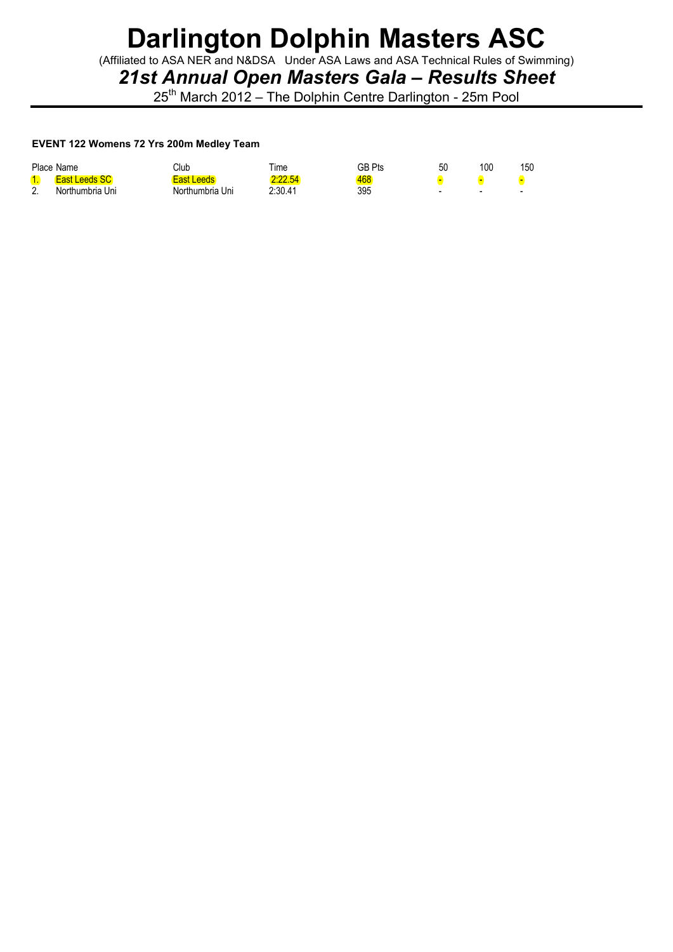(Affiliated to ASA NER and N&DSA Under ASA Laws and ASA Technical Rules of Swimming)

*21st Annual Open Masters Gala – Results Sheet*

25<sup>th</sup> March 2012 – The Dolphin Centre Darlington - 25m Pool

#### **EVENT 122 Womens 72 Yrs 200m Medley Team**

|                 | Place Name           | Club            | ⊺ime    | GB Pts | 50                       | 100 | 150 |
|-----------------|----------------------|-----------------|---------|--------|--------------------------|-----|-----|
|                 | <b>East Leeds SC</b> | East Leeds      | 2:22.54 | 468    |                          |     |     |
| ∩<br><u>.</u> . | Northumbria Uni      | Northumbria Uni | 2:30.41 | 395    | $\overline{\phantom{0}}$ | -   | -   |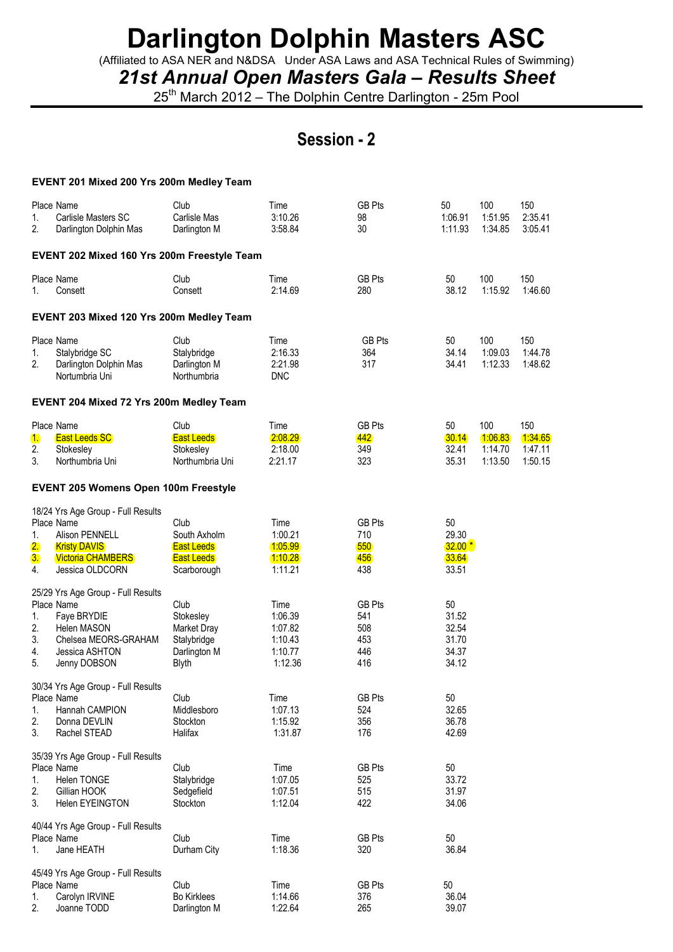(Affiliated to ASA NER and N&DSA Under ASA Laws and ASA Technical Rules of Swimming)

*21st Annual Open Masters Gala – Results Sheet*

25<sup>th</sup> March 2012 – The Dolphin Centre Darlington - 25m Pool

### **Session - 2**

|                            | EVENT 201 Mixed 200 Yrs 200m Medley Team                                                                                                 |                                                                                 |                                                             |                                                  |                                                 |                                      |                                      |
|----------------------------|------------------------------------------------------------------------------------------------------------------------------------------|---------------------------------------------------------------------------------|-------------------------------------------------------------|--------------------------------------------------|-------------------------------------------------|--------------------------------------|--------------------------------------|
| 1.<br>2.                   | Place Name<br>Carlisle Masters SC<br>Darlington Dolphin Mas                                                                              | Club<br>Carlisle Mas<br>Darlington M                                            | Time<br>3:10.26<br>3:58.84                                  | <b>GB Pts</b><br>98<br>30                        | 50<br>1:06.91<br>1:11.93                        | 100<br>1:51.95<br>1:34.85            | 150<br>2:35.41<br>3:05.41            |
|                            | EVENT 202 Mixed 160 Yrs 200m Freestyle Team                                                                                              |                                                                                 |                                                             |                                                  |                                                 |                                      |                                      |
| 1.                         | Place Name<br>Consett                                                                                                                    | Club<br>Consett                                                                 | Time<br>2:14.69                                             | <b>GB Pts</b><br>280                             | 50<br>38.12                                     | 100<br>1:15.92                       | 150<br>1:46.60                       |
|                            | EVENT 203 Mixed 120 Yrs 200m Medley Team                                                                                                 |                                                                                 |                                                             |                                                  |                                                 |                                      |                                      |
| 1.<br>2.                   | Place Name<br>Stalybridge SC<br>Darlington Dolphin Mas<br>Nortumbria Uni                                                                 | Club<br>Stalybridge<br>Darlington M<br>Northumbria                              | Time<br>2:16.33<br>2:21.98<br><b>DNC</b>                    | <b>GB Pts</b><br>364<br>317                      | 50<br>34.14<br>34.41                            | 100<br>1:09.03<br>1:12.33            | 150<br>1:44.78<br>1:48.62            |
|                            | EVENT 204 Mixed 72 Yrs 200m Medley Team                                                                                                  |                                                                                 |                                                             |                                                  |                                                 |                                      |                                      |
| 1.<br>2.<br>3.             | Place Name<br><b>East Leeds SC</b><br>Stokesley<br>Northumbria Uni                                                                       | Club<br><b>East Leeds</b><br>Stokesley<br>Northumbria Uni                       | Time<br>2:08.29<br>2:18.00<br>2:21.17                       | <b>GB Pts</b><br>442<br>349<br>323               | 50<br>30.14<br>32.41<br>35.31                   | 100<br>1:06.83<br>1:14.70<br>1:13.50 | 150<br>1:34.65<br>1:47.11<br>1:50.15 |
|                            | <b>EVENT 205 Womens Open 100m Freestyle</b>                                                                                              |                                                                                 |                                                             |                                                  |                                                 |                                      |                                      |
| 1.<br>2.<br>3.<br>4.       | 18/24 Yrs Age Group - Full Results<br>Place Name<br>Alison PENNELL<br><b>Kristy DAVIS</b><br><b>Victoria CHAMBERS</b><br>Jessica OLDCORN | Club<br>South Axholm<br><b>East Leeds</b><br><b>East Leeds</b><br>Scarborough   | Time<br>1:00.21<br>1:05.99<br>1:10.28<br>1:11.21            | <b>GB Pts</b><br>710<br>550<br>456<br>438        | 50<br>29.30<br>$32.00*$<br>33.64<br>33.51       |                                      |                                      |
| 1.<br>2.<br>3.<br>4.<br>5. | 25/29 Yrs Age Group - Full Results<br>Place Name<br>Faye BRYDIE<br>Helen MASON<br>Chelsea MEORS-GRAHAM<br>Jessica ASHTON<br>Jenny DOBSON | Club<br>Stokesley<br>Market Dray<br>Stalybridge<br>Darlington M<br><b>Blyth</b> | Time<br>1:06.39<br>1:07.82<br>1:10.43<br>1:10.77<br>1:12.36 | <b>GB Pts</b><br>541<br>508<br>453<br>446<br>416 | 50<br>31.52<br>32.54<br>31.70<br>34.37<br>34.12 |                                      |                                      |
| 1.<br>2.<br>3.             | 30/34 Yrs Age Group - Full Results<br>Place Name<br>Hannah CAMPION<br>Donna DEVLIN<br>Rachel STEAD                                       | Club<br>Middlesboro<br>Stockton<br>Halifax                                      | Time<br>1:07.13<br>1:15.92<br>1:31.87                       | <b>GB Pts</b><br>524<br>356<br>176               | 50<br>32.65<br>36.78<br>42.69                   |                                      |                                      |
| 1.<br>2.<br>3.             | 35/39 Yrs Age Group - Full Results<br>Place Name<br>Helen TONGE<br>Gillian HOOK<br>Helen EYEINGTON                                       | Club<br>Stalybridge<br>Sedgefield<br>Stockton                                   | Time<br>1:07.05<br>1:07.51<br>1:12.04                       | <b>GB Pts</b><br>525<br>515<br>422               | 50<br>33.72<br>31.97<br>34.06                   |                                      |                                      |
| 1.                         | 40/44 Yrs Age Group - Full Results<br>Place Name<br>Jane HEATH                                                                           | Club<br>Durham City                                                             | Time<br>1:18.36                                             | <b>GB Pts</b><br>320                             | 50<br>36.84                                     |                                      |                                      |
| 1.<br>2.                   | 45/49 Yrs Age Group - Full Results<br>Place Name<br>Carolyn IRVINE<br>Joanne TODD                                                        | Club<br><b>Bo Kirklees</b><br>Darlington M                                      | Time<br>1:14.66<br>1:22.64                                  | <b>GB Pts</b><br>376<br>265                      | 50<br>36.04<br>39.07                            |                                      |                                      |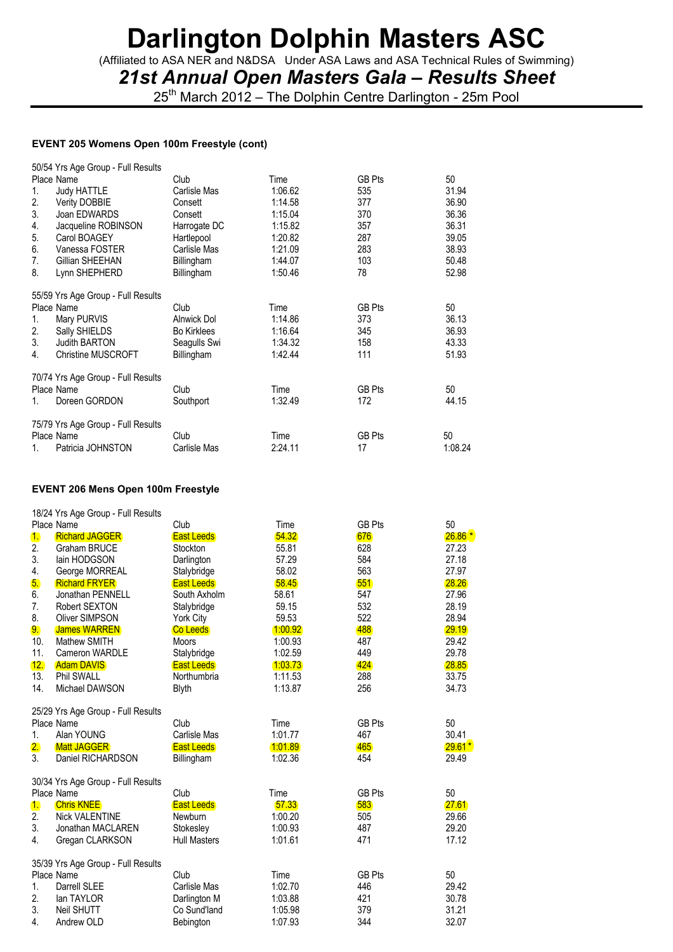(Affiliated to ASA NER and N&DSA Under ASA Laws and ASA Technical Rules of Swimming)

*21st Annual Open Masters Gala – Results Sheet*

25<sup>th</sup> March 2012 – The Dolphin Centre Darlington - 25m Pool

### **EVENT 205 Womens Open 100m Freestyle (cont)**

|                | 50/54 Yrs Age Group - Full Results |                    |         |               |         |
|----------------|------------------------------------|--------------------|---------|---------------|---------|
|                | Place Name                         | Club               | Time    | <b>GB Pts</b> | 50      |
| 1.             | <b>Judy HATTLE</b>                 | Carlisle Mas       | 1:06.62 | 535           | 31.94   |
| 2.             | <b>Verity DOBBIE</b>               | Consett            | 1:14.58 | 377           | 36.90   |
| 3.             | Joan EDWARDS                       | Consett            | 1:15.04 | 370           | 36.36   |
| 4.             | Jacqueline ROBINSON                | Harrogate DC       | 1:15.82 | 357           | 36.31   |
| 5.             | Carol BOAGEY                       | Hartlepool         | 1:20.82 | 287           | 39.05   |
| 6.             | Vanessa FOSTER                     | Carlisle Mas       | 1:21.09 | 283           | 38.93   |
| 7 <sub>1</sub> | Gillian SHEEHAN                    | Billingham         | 1:44.07 | 103           | 50.48   |
| 8.             | Lynn SHEPHERD                      | Billingham         | 1:50.46 | 78            | 52.98   |
|                | 55/59 Yrs Age Group - Full Results |                    |         |               |         |
|                | Place Name                         | Club               | Time    | <b>GB Pts</b> | 50      |
| 1.             | Mary PURVIS                        | Alnwick Dol        | 1:14.86 | 373           | 36.13   |
| 2.             | Sally SHIELDS                      | <b>Bo Kirklees</b> | 1:16.64 | 345           | 36.93   |
| 3.             | <b>Judith BARTON</b>               | Seagulls Swi       | 1:34.32 | 158           | 43.33   |
| 4.             | <b>Christine MUSCROFT</b>          | Billingham         | 1:42.44 | 111           | 51.93   |
|                | 70/74 Yrs Age Group - Full Results |                    |         |               |         |
|                | Place Name                         | Club               | Time    | <b>GB Pts</b> | 50      |
| 1.             | Doreen GORDON                      | Southport          | 1:32.49 | 172           | 44.15   |
|                | 75/79 Yrs Age Group - Full Results |                    |         |               |         |
|                | Place Name                         | Club               | Time    | <b>GB Pts</b> | 50      |
| $1_{-}$        | Patricia JOHNSTON                  | Carlisle Mas       | 2:24.11 | 17            | 1:08.24 |
|                |                                    |                    |         |               |         |

### **EVENT 206 Mens Open 100m Freestyle**

|                | 18/24 Yrs Age Group - Full Results |                     |         |               |          |
|----------------|------------------------------------|---------------------|---------|---------------|----------|
|                | Place Name                         | Club                | Time    | <b>GB Pts</b> | 50       |
| $\mathbf{1}$ . | <b>Richard JAGGER</b>              | <b>East Leeds</b>   | 54.32   | 676           | $26.86*$ |
| 2.             | <b>Graham BRUCE</b>                | Stockton            | 55.81   | 628           | 27.23    |
| 3.             | lain HODGSON                       | Darlington          | 57.29   | 584           | 27.18    |
| 4.             | George MORREAL                     | Stalybridge         | 58.02   | 563           | 27.97    |
| 5.             | <b>Richard FRYER</b>               | <b>East Leeds</b>   | 58.45   | 551           | 28.26    |
| 6.             | Jonathan PENNELL                   | South Axholm        | 58.61   | 547           | 27.96    |
| 7.             | Robert SEXTON                      | Stalybridge         | 59.15   | 532           | 28.19    |
| 8.             | <b>Oliver SIMPSON</b>              | York City           | 59.53   | 522           | 28.94    |
| 9.             | <b>James WARREN</b>                | <b>Co Leeds</b>     | 1:00.92 | 488           | 29.19    |
| 10.            | Mathew SMITH                       | <b>Moors</b>        | 1:00.93 | 487           | 29.42    |
| 11.            | Cameron WARDLE                     | Stalybridge         | 1:02.59 | 449           | 29.78    |
| 12.            | <b>Adam DAVIS</b>                  | <b>East Leeds</b>   | 1:03.73 | 424           | 28.85    |
| 13.            | Phil SWALL                         | Northumbria         | 1:11.53 | 288           | 33.75    |
| 14.            | Michael DAWSON                     | <b>Blyth</b>        | 1:13.87 | 256           | 34.73    |
|                | 25/29 Yrs Age Group - Full Results |                     |         |               |          |
|                | Place Name                         | Club                | Time    | <b>GB Pts</b> | 50       |
| 1.             | Alan YOUNG                         | Carlisle Mas        | 1:01.77 | 467           | 30.41    |
| 2.             | <b>Matt JAGGER</b>                 | <b>East Leeds</b>   | 1:01.89 | 465           | $29.61*$ |
| 3.             | Daniel RICHARDSON                  | Billingham          | 1:02.36 | 454           | 29.49    |
|                | 30/34 Yrs Age Group - Full Results |                     |         |               |          |
|                | Place Name                         | Club                | Time    | <b>GB Pts</b> | 50       |
| 1.             | <b>Chris KNEE</b>                  | <b>East Leeds</b>   | 57.33   | 583           | 27.61    |
| 2.             | <b>Nick VALENTINE</b>              | Newburn             | 1:00.20 | 505           | 29.66    |
| 3.             | Jonathan MACLAREN                  | Stokesley           | 1:00.93 | 487           | 29.20    |
| 4.             | Gregan CLARKSON                    | <b>Hull Masters</b> | 1:01.61 | 471           | 17.12    |
|                |                                    |                     |         |               |          |
|                | 35/39 Yrs Age Group - Full Results |                     |         |               |          |
|                | Place Name                         | Club                | Time    | <b>GB Pts</b> | 50       |
| $\mathbf{1}$ . | Darrell SLEE                       | Carlisle Mas        | 1:02.70 | 446           | 29.42    |
| 2.             | lan TAYLOR                         | Darlington M        | 1:03.88 | 421           | 30.78    |
| 3.             | <b>Neil SHUTT</b>                  | Co Sund'land        | 1:05.98 | 379           | 31.21    |
| 4.             | Andrew OLD                         | Bebington           | 1:07.93 | 344           | 32.07    |
|                |                                    |                     |         |               |          |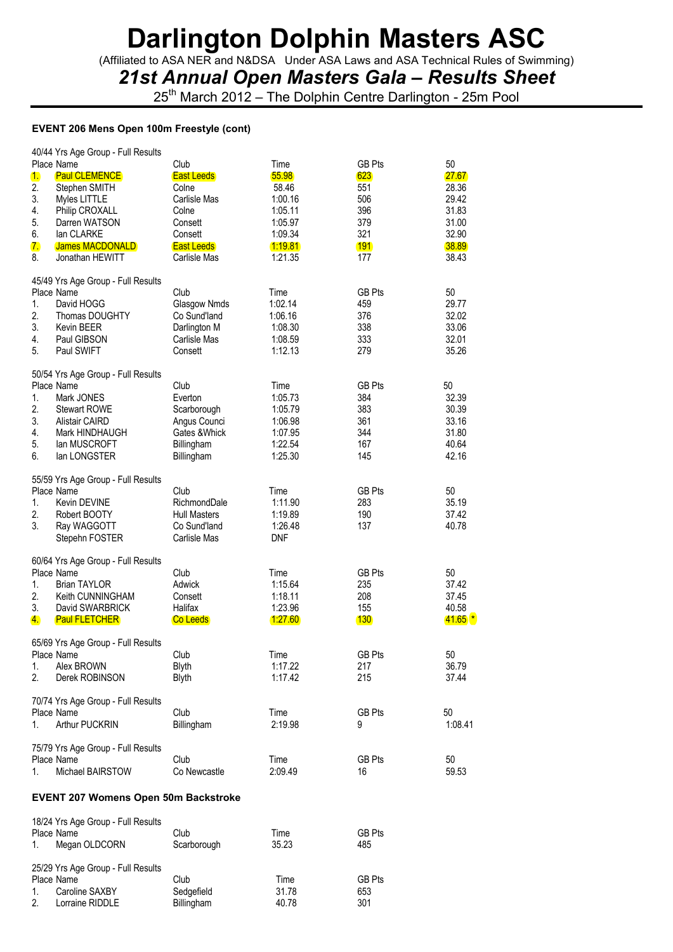(Affiliated to ASA NER and N&DSA Under ASA Laws and ASA Technical Rules of Swimming)

*21st Annual Open Masters Gala – Results Sheet*

25<sup>th</sup> March 2012 – The Dolphin Centre Darlington - 25m Pool

#### **EVENT 206 Mens Open 100m Freestyle (cont)**

|          | 40/44 Yrs Age Group - Full Results          |                     |                |               |             |
|----------|---------------------------------------------|---------------------|----------------|---------------|-------------|
|          | Place Name                                  | Club                | Time           | <b>GB Pts</b> | 50          |
| 1.       | <b>Paul CLEMENCE</b>                        | <b>East Leeds</b>   | 55.98          | 623           | 27.67       |
| 2.       | Stephen SMITH                               | Colne               | 58.46          | 551           | 28.36       |
| 3.       | Myles LITTLE                                | Carlisle Mas        | 1:00.16        | 506           | 29.42       |
| 4.       | Philip CROXALL                              | Colne               | 1:05.11        | 396           | 31.83       |
| 5.       | Darren WATSON                               | Consett             | 1:05.97        | 379           | 31.00       |
| 6.       | lan CLARKE                                  | Consett             | 1:09.34        | 321           | 32.90       |
| 7.       | <b>James MACDONALD</b>                      | <b>East Leeds</b>   | <u>1:19.81</u> | <b>191</b>    | 38.89       |
| 8.       | Jonathan HEWITT                             | Carlisle Mas        | 1:21.35        | 177           | 38.43       |
|          |                                             |                     |                |               |             |
|          | 45/49 Yrs Age Group - Full Results          |                     |                |               |             |
|          | Place Name                                  | Club                | Time           | <b>GB Pts</b> | 50          |
| 1.       | David HOGG                                  | Glasgow Nmds        | 1:02.14        | 459           | 29.77       |
| 2.       | Thomas DOUGHTY                              | Co Sund'land        | 1:06.16        | 376           | 32.02       |
| 3.       | Kevin BEER                                  | Darlington M        | 1:08.30        | 338           | 33.06       |
| 4.       | Paul GIBSON                                 | Carlisle Mas        | 1:08.59        | 333           | 32.01       |
| 5.       | Paul SWIFT                                  | Consett             | 1:12.13        | 279           | 35.26       |
|          |                                             |                     |                |               |             |
|          | 50/54 Yrs Age Group - Full Results          |                     |                |               |             |
|          | Place Name                                  | Club                | Time           | <b>GB Pts</b> | 50          |
|          |                                             |                     |                |               |             |
| 1.<br>2. | Mark JONES                                  | Everton             | 1:05.73        | 384           | 32.39       |
|          | <b>Stewart ROWE</b>                         | Scarborough         | 1:05.79        | 383           | 30.39       |
| 3.       | <b>Alistair CAIRD</b>                       | Angus Counci        | 1:06.98        | 361           | 33.16       |
| 4.       | Mark HINDHAUGH                              | Gates & Whick       | 1:07.95        | 344           | 31.80       |
| 5.       | lan MUSCROFT                                | Billingham          | 1:22.54        | 167           | 40.64       |
| 6.       | lan LONGSTER                                | Billingham          | 1:25.30        | 145           | 42.16       |
|          | 55/59 Yrs Age Group - Full Results          |                     |                |               |             |
|          | Place Name                                  | Club                | Time           | <b>GB Pts</b> | 50          |
| 1.       | Kevin DEVINE                                | RichmondDale        | 1:11.90        | 283           | 35.19       |
| 2.       | Robert BOOTY                                | <b>Hull Masters</b> | 1:19.89        | 190           | 37.42       |
| 3.       | Ray WAGGOTT                                 | Co Sund'land        | 1:26.48        | 137           | 40.78       |
|          | Stepehn FOSTER                              | Carlisle Mas        | <b>DNF</b>     |               |             |
|          |                                             |                     |                |               |             |
|          | 60/64 Yrs Age Group - Full Results          |                     |                |               |             |
|          | Place Name                                  | Club                | Time           | <b>GB Pts</b> | 50          |
| 1.       | <b>Brian TAYLOR</b>                         | Adwick              | 1:15.64        | 235           | 37.42       |
| 2.       | Keith CUNNINGHAM                            | Consett             | 1:18.11        | 208           | 37.45       |
| 3.       | David SWARBRICK                             | Halifax             | 1:23.96        | 155           | 40.58       |
| 4.       | <b>Paul FLETCHER</b>                        | Co Leeds            | 1:27.60        | 130           | $41.65$ $*$ |
|          |                                             |                     |                |               |             |
|          | 65/69 Yrs Age Group - Full Results          |                     |                |               |             |
|          | Place Name                                  | Club                | Time           | <b>GB Pts</b> | 50          |
| 1.       | Alex BROWN                                  |                     | 1:17.22        | 217           | 36.79       |
| 2.       | Derek ROBINSON                              | Blyth               | 1:17.42        | 215           | 37.44       |
|          |                                             | Blyth               |                |               |             |
|          | 70/74 Yrs Age Group - Full Results          |                     |                |               |             |
|          | Place Name                                  | Club                | Time           | <b>GB Pts</b> | 50          |
|          | Arthur PUCKRIN                              |                     |                |               |             |
| 1.       |                                             | Billingham          | 2:19.98        | 9             | 1:08.41     |
|          | 75/79 Yrs Age Group - Full Results          |                     |                |               |             |
|          | Place Name                                  | Club                | Time           | <b>GB Pts</b> | 50          |
| 1.       | Michael BAIRSTOW                            | Co Newcastle        | 2:09.49        | 16            |             |
|          |                                             |                     |                |               | 59.53       |
|          |                                             |                     |                |               |             |
|          | <b>EVENT 207 Womens Open 50m Backstroke</b> |                     |                |               |             |

|                | 18/24 Yrs Age Group - Full Results |             |       |               |
|----------------|------------------------------------|-------------|-------|---------------|
|                | Place Name                         | Club        | Time  | GB Pts        |
| $\mathbf{1}$ . | Megan OLDCORN                      | Scarborough | 35.23 | 485           |
|                | 25/29 Yrs Age Group - Full Results |             |       |               |
|                | Place Name                         | Club        | Time  | <b>GB Pts</b> |
| $1_{\cdot}$    | Caroline SAXBY                     | Sedgefield  | 31.78 | 653           |
| 2.             | Lorraine RIDDLE                    | Billingham  | 40.78 | 301           |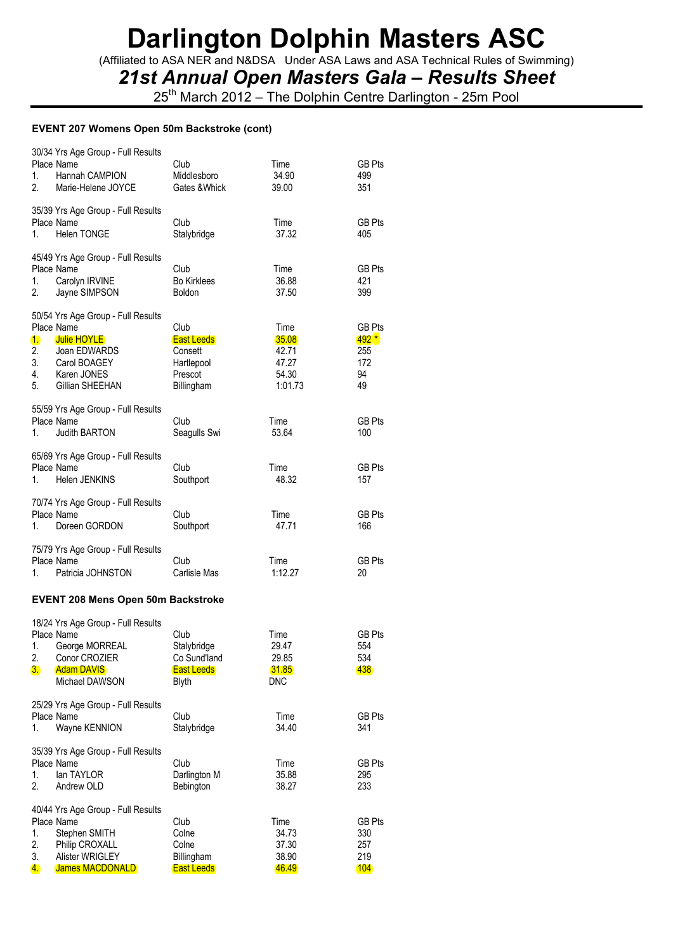(Affiliated to ASA NER and N&DSA Under ASA Laws and ASA Technical Rules of Swimming)

### *21st Annual Open Masters Gala – Results Sheet*

25<sup>th</sup> March 2012 – The Dolphin Centre Darlington - 25m Pool

#### **EVENT 207 Womens Open 50m Backstroke (cont)**

| 1.<br>2.                           | 30/34 Yrs Age Group - Full Results<br>Place Name<br>Hannah CAMPION<br>Marie-Helene JOYCE                                                 | Club<br>Middlesboro<br>Gates & Whick                                        | Time<br>34.90<br>39.00                               | <b>GB Pts</b><br>499<br>351                       |
|------------------------------------|------------------------------------------------------------------------------------------------------------------------------------------|-----------------------------------------------------------------------------|------------------------------------------------------|---------------------------------------------------|
| 1.                                 | 35/39 Yrs Age Group - Full Results<br>Place Name<br><b>Helen TONGE</b>                                                                   | Club<br>Stalybridge                                                         | Time<br>37.32                                        | <b>GB Pts</b><br>405                              |
| 1.<br>2.                           | 45/49 Yrs Age Group - Full Results<br>Place Name<br>Carolyn IRVINE<br>Jayne SIMPSON                                                      | Club<br><b>Bo Kirklees</b><br>Boldon                                        | Time<br>36.88<br>37.50                               | <b>GB Pts</b><br>421<br>399                       |
| 1.<br>2.<br>3.<br>4.<br>5.         | 50/54 Yrs Age Group - Full Results<br>Place Name<br><b>Julie HOYLE</b><br>Joan EDWARDS<br>Carol BOAGEY<br>Karen JONES<br>Gillian SHEEHAN | Club<br><b>East Leeds</b><br>Consett<br>Hartlepool<br>Prescot<br>Billingham | Time<br>35.08<br>42.71<br>47.27<br>54.30<br>1:01.73  | <b>GB Pts</b><br>$492*$<br>255<br>172<br>94<br>49 |
| 1.                                 | 55/59 Yrs Age Group - Full Results<br>Place Name<br>Judith BARTON                                                                        | Club<br>Seagulls Swi                                                        | Time<br>53.64                                        | <b>GB Pts</b><br>100                              |
| 1.                                 | 65/69 Yrs Age Group - Full Results<br>Place Name<br>Helen JENKINS                                                                        | Club<br>Southport                                                           | Time<br>48.32                                        | <b>GB Pts</b><br>157                              |
| 1.                                 | 70/74 Yrs Age Group - Full Results<br>Place Name<br>Doreen GORDON                                                                        | Club<br>Southport                                                           | Time<br>47.71                                        | <b>GB Pts</b><br>166                              |
| 1.                                 | 75/79 Yrs Age Group - Full Results<br>Place Name<br>Patricia JOHNSTON                                                                    | Club<br>Carlisle Mas                                                        | Time<br>1:12.27                                      | GB Pts<br>20                                      |
|                                    | <b>EVENT 208 Mens Open 50m Backstroke</b>                                                                                                |                                                                             |                                                      |                                                   |
| 1.<br>2.<br>3.                     | 18/24 Yrs Age Group - Full Results<br>Place Name<br>George MORREAL<br>Conor CROZIER<br><b>Adam DAVIS</b><br>Michael DAWSON               | Club<br>Stalybridge<br>Co Sund'land<br><b>East Leeds</b><br><b>Blyth</b>    | Time<br>29.47<br>29.85<br><b>31.85</b><br><b>DNC</b> | <b>GB Pts</b><br>554<br>534<br>438                |
| 1.                                 | 25/29 Yrs Age Group - Full Results<br>Place Name<br>Wayne KENNION                                                                        | Club<br>Stalybridge                                                         | Time<br>34.40                                        | <b>GB Pts</b><br>341                              |
| 1.<br>2.                           | 35/39 Yrs Age Group - Full Results<br>Place Name<br>lan TAYLOR<br>Andrew OLD                                                             | Club<br>Darlington M<br>Bebington                                           | Time<br>35.88<br>38.27                               | <b>GB Pts</b><br>295<br>233                       |
| 1.<br>2.<br>3.<br>$\overline{4}$ . | 40/44 Yrs Age Group - Full Results<br>Place Name<br>Stephen SMITH<br>Philip CROXALL<br>Alister WRIGLEY<br><b>James MACDONALD</b>         | Club<br>Colne<br>Colne<br>Billingham<br><b>East Leeds</b>                   | Time<br>34.73<br>37.30<br>38.90<br>46.49             | <b>GB Pts</b><br>330<br>257<br>219<br>104         |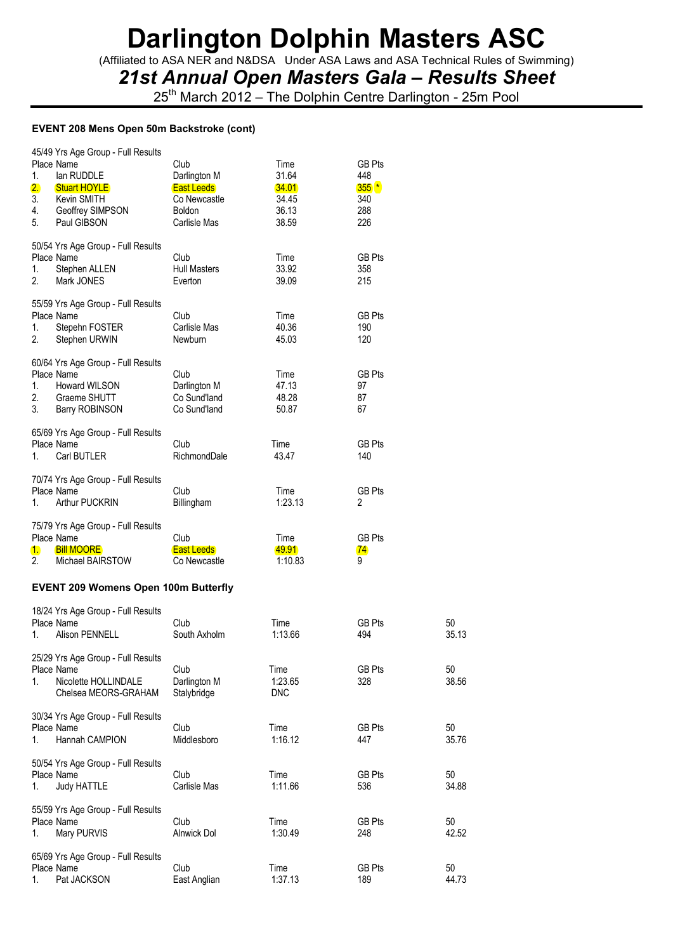(Affiliated to ASA NER and N&DSA Under ASA Laws and ASA Technical Rules of Swimming)

*21st Annual Open Masters Gala – Results Sheet*

25<sup>th</sup> March 2012 – The Dolphin Centre Darlington - 25m Pool

#### **EVENT 208 Mens Open 50m Backstroke (cont)**

| 45/49 Yrs Age Group - Full Results<br>Place Name<br>1.<br>lan RUDDLE<br>2.<br><b>Stuart HOYLE</b><br>3.<br>Kevin SMITH<br>4.<br>Geoffrey SIMPSON<br>5.<br>Paul GIBSON | Club<br>Darlington M<br><b>East Leeds</b><br>Co Newcastle<br>Boldon<br>Carlisle Mas | Time<br>31.64<br>34.01<br>34.45<br>36.13<br>38.59 | <b>GB Pts</b><br>448<br>$355*$<br>340<br>288<br>226 |             |
|-----------------------------------------------------------------------------------------------------------------------------------------------------------------------|-------------------------------------------------------------------------------------|---------------------------------------------------|-----------------------------------------------------|-------------|
| 50/54 Yrs Age Group - Full Results<br>Place Name<br>1.<br>Stephen ALLEN<br>2.<br>Mark JONES                                                                           | Club<br><b>Hull Masters</b><br>Everton                                              | Time<br>33.92<br>39.09                            | <b>GB Pts</b><br>358<br>215                         |             |
| 55/59 Yrs Age Group - Full Results<br>Place Name<br>Stepehn FOSTER<br>1.<br>2.<br>Stephen URWIN                                                                       | Club<br>Carlisle Mas<br>Newburn                                                     | Time<br>40.36<br>45.03                            | GB Pts<br>190<br>120                                |             |
| 60/64 Yrs Age Group - Full Results<br>Place Name<br>1.<br>Howard WILSON<br>2.<br>Graeme SHUTT<br>3.<br>Barry ROBINSON                                                 | Club<br>Darlington M<br>Co Sund'land<br>Co Sund'land                                | Time<br>47.13<br>48.28<br>50.87                   | <b>GB Pts</b><br>97<br>87<br>67                     |             |
| 65/69 Yrs Age Group - Full Results<br>Place Name<br>Carl BUTLER<br>1.                                                                                                 | Club<br>RichmondDale                                                                | Time<br>43.47                                     | <b>GB Pts</b><br>140                                |             |
| 70/74 Yrs Age Group - Full Results<br>Place Name<br>Arthur PUCKRIN<br>1.                                                                                              | Club<br>Billingham                                                                  | Time<br>1:23.13                                   | <b>GB Pts</b><br>2                                  |             |
| 75/79 Yrs Age Group - Full Results<br>Place Name<br><b>Bill MOORE</b><br>1.<br>2.<br>Michael BAIRSTOW                                                                 | Club<br><b>East Leeds</b><br>Co Newcastle                                           | Time<br>49.91<br>1:10.83                          | <b>GB Pts</b><br>$\mathbf{74}$<br>9                 |             |
| <b>EVENT 209 Womens Open 100m Butterfly</b>                                                                                                                           |                                                                                     |                                                   |                                                     |             |
| 18/24 Yrs Age Group - Full Results<br>Place Name<br>1.<br><b>Alison PENNELL</b>                                                                                       | Club<br>South Axholm                                                                | Time<br>1:13.66                                   | <b>GB Pts</b><br>494                                | 50<br>35.13 |
| 25/29 Yrs Age Group - Full Results<br>Place Name<br>Nicolette HOLLINDALE<br>1.<br>Chelsea MEORS-GRAHAM                                                                | Club<br>Darlington M<br>Stalybridge                                                 | Time<br>1:23.65<br><b>DNC</b>                     | <b>GB Pts</b><br>328                                | 50<br>38.56 |
| 30/34 Yrs Age Group - Full Results<br>Place Name<br>Hannah CAMPION<br>1.                                                                                              | Club<br>Middlesboro                                                                 | Time<br>1:16.12                                   | <b>GB Pts</b><br>447                                | 50<br>35.76 |
| 50/54 Yrs Age Group - Full Results<br>Place Name<br><b>Judy HATTLE</b><br>1.                                                                                          | Club<br>Carlisle Mas                                                                | Time<br>1:11.66                                   | <b>GB Pts</b><br>536                                | 50<br>34.88 |
| 55/59 Yrs Age Group - Full Results<br>Place Name<br>Mary PURVIS<br>1.                                                                                                 | Club<br>Alnwick Dol                                                                 | Time<br>1:30.49                                   | <b>GB Pts</b><br>248                                | 50<br>42.52 |
| 65/69 Yrs Age Group - Full Results<br>Place Name<br>Pat JACKSON<br>1.                                                                                                 | Club<br>East Anglian                                                                | Time<br>1:37.13                                   | <b>GB Pts</b><br>189                                | 50<br>44.73 |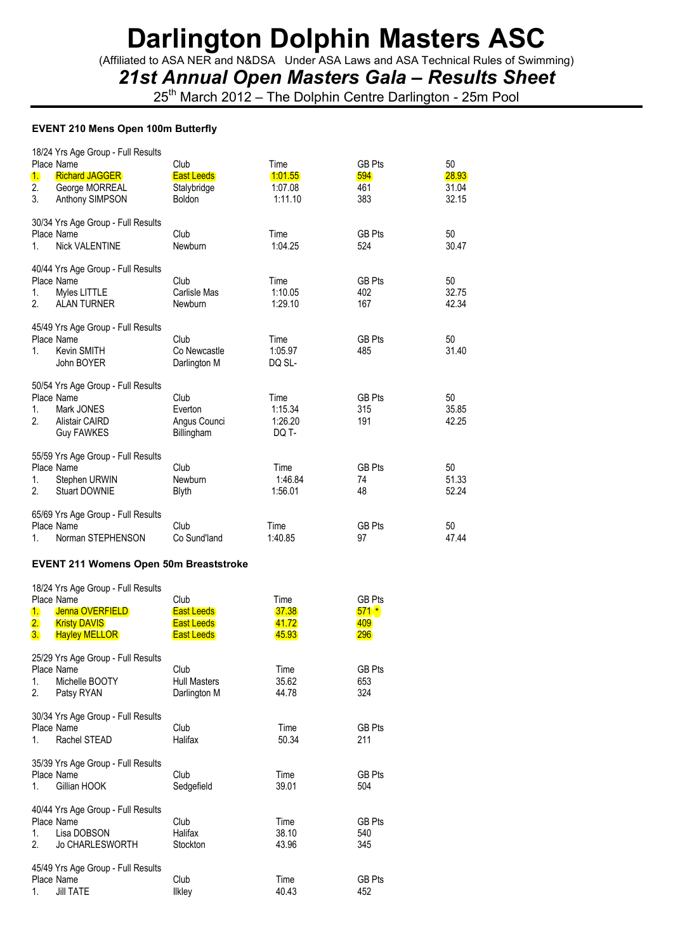(Affiliated to ASA NER and N&DSA Under ASA Laws and ASA Technical Rules of Swimming)

*21st Annual Open Masters Gala – Results Sheet*

25<sup>th</sup> March 2012 – The Dolphin Centre Darlington - 25m Pool

#### **EVENT 210 Mens Open 100m Butterfly**

| 1.<br>2.<br>3. | 18/24 Yrs Age Group - Full Results<br>Place Name<br><b>Richard JAGGER</b><br>George MORREAL<br>Anthony SIMPSON | Club<br><b>East Leeds</b><br>Stalybridge<br><b>Boldon</b> | Time<br>1:01.55<br>1:07.08<br>1:11.10 | <b>GB Pts</b><br>594<br>461<br>383 | 50<br>28.93<br>31.04<br>32.15 |
|----------------|----------------------------------------------------------------------------------------------------------------|-----------------------------------------------------------|---------------------------------------|------------------------------------|-------------------------------|
| $1_{-}$        | 30/34 Yrs Age Group - Full Results<br>Place Name<br><b>Nick VALENTINE</b>                                      | Club<br>Newburn                                           | Time<br>1:04.25                       | <b>GB Pts</b><br>524               | 50<br>30.47                   |
| 1.<br>2.       | 40/44 Yrs Age Group - Full Results<br>Place Name<br>Myles LITTLE<br><b>ALAN TURNER</b>                         | Club<br>Carlisle Mas<br>Newburn                           | Time<br>1:10.05<br>1:29.10            | <b>GB Pts</b><br>402<br>167        | 50<br>32.75<br>42.34          |
| 1.             | 45/49 Yrs Age Group - Full Results<br>Place Name<br>Kevin SMITH<br>John BOYER                                  | Club<br>Co Newcastle<br>Darlington M                      | Time<br>1:05.97<br>DQ SL-             | <b>GB Pts</b><br>485               | 50<br>31.40                   |
| 1.<br>2.       | 50/54 Yrs Age Group - Full Results<br>Place Name<br>Mark JONES<br><b>Alistair CAIRD</b><br><b>Guy FAWKES</b>   | Club<br>Everton<br>Angus Counci<br>Billingham             | Time<br>1:15.34<br>1:26.20<br>DQ T-   | <b>GB Pts</b><br>315<br>191        | 50<br>35.85<br>42.25          |
| 1.<br>2.       | 55/59 Yrs Age Group - Full Results<br>Place Name<br>Stephen URWIN<br>Stuart DOWNIE                             | Club<br>Newburn<br><b>Blyth</b>                           | Time<br>1:46.84<br>1:56.01            | <b>GB Pts</b><br>74<br>48          | 50<br>51.33<br>52.24          |
| 1.             | 65/69 Yrs Age Group - Full Results<br>Place Name<br>Norman STEPHENSON                                          | Club<br>Co Sund'land                                      | Time<br>1:40.85                       | <b>GB Pts</b><br>97                | 50<br>47.44                   |

### **EVENT 211 Womens Open 50m Breaststroke**

| Place Name | 18/24 Yrs Age Group - Full Results | Club                | Time  | <b>GB Pts</b> |
|------------|------------------------------------|---------------------|-------|---------------|
| 1.         | Jenna OVERFIELD                    | <b>East Leeds</b>   | 37.38 | $571*$        |
| 2.         | <b>Kristy DAVIS</b>                | <b>East Leeds</b>   | 41.72 | 409           |
| 3.         | <b>Hayley MELLOR</b>               | <b>East Leeds</b>   | 45.93 | <b>296</b>    |
| Place Name | 25/29 Yrs Age Group - Full Results | Club                | Time  | <b>GB Pts</b> |
| 1.         | Michelle BOOTY                     | <b>Hull Masters</b> | 35.62 | 653           |
| 2.         | Patsy RYAN                         | Darlington M        | 44.78 | 324           |
| Place Name | 30/34 Yrs Age Group - Full Results | Club                | Time  | <b>GB Pts</b> |
| 1.         | Rachel STEAD                       | Halifax             | 50.34 | 211           |
| Place Name | 35/39 Yrs Age Group - Full Results | Club                | Time  | <b>GB Pts</b> |
| 1.         | Gillian HOOK                       | Sedgefield          | 39.01 | 504           |
| Place Name | 40/44 Yrs Age Group - Full Results | Club                | Time  | <b>GB Pts</b> |
| 1.         | Lisa DOBSON                        | Halifax             | 38.10 | 540           |
| 2.         | <b>Jo CHARLESWORTH</b>             | Stockton            | 43.96 | 345           |
| Place Name | 45/49 Yrs Age Group - Full Results | Club                | Time  | <b>GB Pts</b> |
| 1.         | <b>Jill TATE</b>                   | <b>Ilkley</b>       | 40.43 | 452           |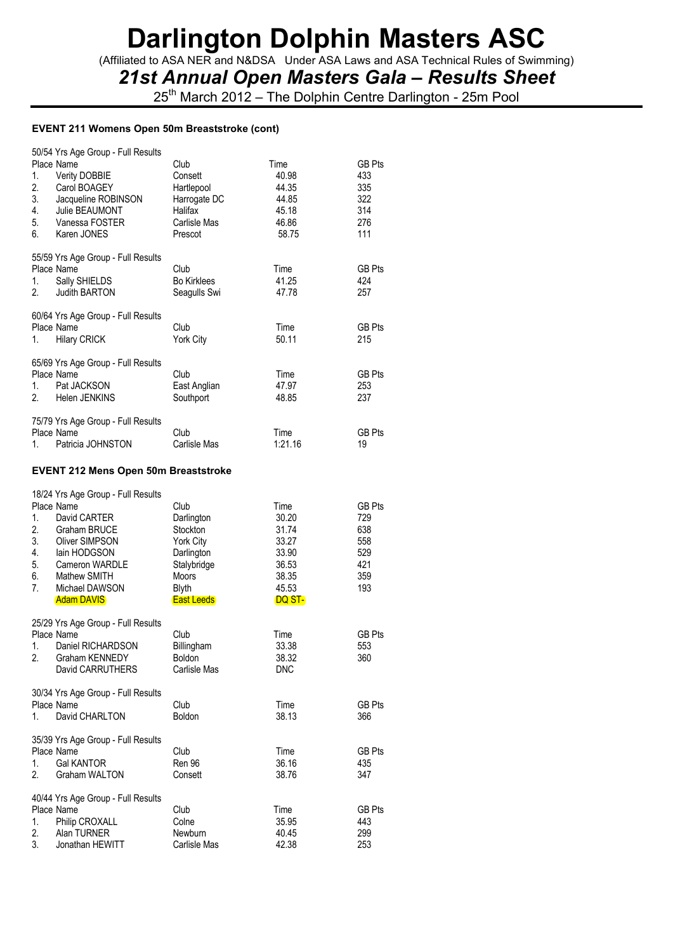(Affiliated to ASA NER and N&DSA Under ASA Laws and ASA Technical Rules of Swimming)

*21st Annual Open Masters Gala – Results Sheet*

25<sup>th</sup> March 2012 – The Dolphin Centre Darlington - 25m Pool

#### **EVENT 211 Womens Open 50m Breaststroke (cont)**

|    | 50/54 Yrs Age Group - Full Results          |                    |         |               |
|----|---------------------------------------------|--------------------|---------|---------------|
|    | Place Name                                  | Club               | Time    | <b>GB Pts</b> |
| 1. | Verity DOBBIE                               | Consett            | 40.98   | 433           |
| 2. | Carol BOAGEY                                | Hartlepool         | 44.35   | 335           |
| 3. | Jacqueline ROBINSON                         | Harrogate DC       | 44.85   | 322           |
| 4. | Julie BEAUMONT                              | Halifax            | 45.18   | 314           |
| 5. | Vanessa FOSTER                              | Carlisle Mas       | 46.86   | 276           |
| 6. | Karen JONES                                 | Prescot            | 58.75   | 111           |
|    | 55/59 Yrs Age Group - Full Results          |                    |         |               |
|    | Place Name                                  | Club               | Time    | GB Pts        |
| 1. | Sally SHIELDS                               | <b>Bo Kirklees</b> | 41.25   | 424           |
| 2. | <b>Judith BARTON</b>                        | Seagulls Swi       | 47.78   | 257           |
|    | 60/64 Yrs Age Group - Full Results          |                    |         |               |
|    | Place Name                                  | Club               | Time    | GB Pts        |
| 1. | <b>Hilary CRICK</b>                         | York City          | 50.11   | 215           |
|    | 65/69 Yrs Age Group - Full Results          |                    |         |               |
|    | Place Name                                  | Club               | Time    | <b>GB Pts</b> |
| 1. | Pat JACKSON                                 | East Anglian       | 47.97   | 253           |
| 2. | Helen JENKINS                               | Southport          | 48.85   | 237           |
|    |                                             |                    |         |               |
|    | 75/79 Yrs Age Group - Full Results          |                    |         |               |
|    | Place Name                                  | Club               | Time    | GB Pts        |
| 1. | Patricia JOHNSTON                           | Carlisle Mas       | 1:21.16 | 19            |
|    | <b>EVENT 212 Mens Open 50m Breaststroke</b> |                    |         |               |
|    | 18/24 Yrs Age Group - Full Results          |                    |         |               |
|    | Place Name                                  | Club               | Time    | GB Pts        |
| 1. | David CARTER                                | Darlington         | 30.20   | 729           |
| 2. | <b>Graham BRUCE</b>                         | Stockton           | 31.74   | 638           |
| 3. | <b>Oliver SIMPSON</b>                       | York City          | 33.27   | 558           |

| 4.             | lain HODGSON                       | Darlington        | 33.90  | 529    |
|----------------|------------------------------------|-------------------|--------|--------|
| 5.             | Cameron WARDLE                     | Stalybridge       | 36.53  | 421    |
| 6.             | Mathew SMITH                       | <b>Moors</b>      | 38.35  | 359    |
| 7 <sub>1</sub> | Michael DAWSON                     | Blyth             | 45.53  | 193    |
|                | <b>Adam DAVIS</b>                  | <b>East Leeds</b> | DQ ST- |        |
|                | 25/29 Yrs Age Group - Full Results |                   |        |        |
|                | Place Name                         | Club              | Time   | GB Pts |
| 1.             | Daniel RICHARDSON                  | Billingham        | 33.38  | 553    |
| 2.             | Graham KENNEDY                     | <b>Boldon</b>     | 38.32  | 360    |
|                | David CARRUTHERS                   | Carlisle Mas      | DNC.   |        |

| 1.             | 30/34 Yrs Age Group - Full Results<br>Place Name<br>David CHARLTON | Club<br><b>Boldon</b> | Time<br>38.13 | GB Pts<br>366 |
|----------------|--------------------------------------------------------------------|-----------------------|---------------|---------------|
|                | 35/39 Yrs Age Group - Full Results                                 |                       |               |               |
|                | Place Name                                                         | Club                  | Time          | <b>GB Pts</b> |
| 1.             | <b>Gal KANTOR</b>                                                  | <b>Ren 96</b>         | 36.16         | 435           |
| 2 <sub>1</sub> | <b>Graham WALTON</b>                                               | Consett               | 38.76         | 347           |
|                | 40/44 Yrs Age Group - Full Results                                 |                       |               |               |
|                | Place Name                                                         | Club                  | Time          | <b>GB Pts</b> |
| 1.             | Philip CROXALL                                                     | Colne                 | 35.95         | 443           |
| 2.             | Alan TURNER                                                        | Newburn               | 40.45         | 299           |
| 3.             | Jonathan HEWITT                                                    | Carlisle Mas          | 42.38         | 253           |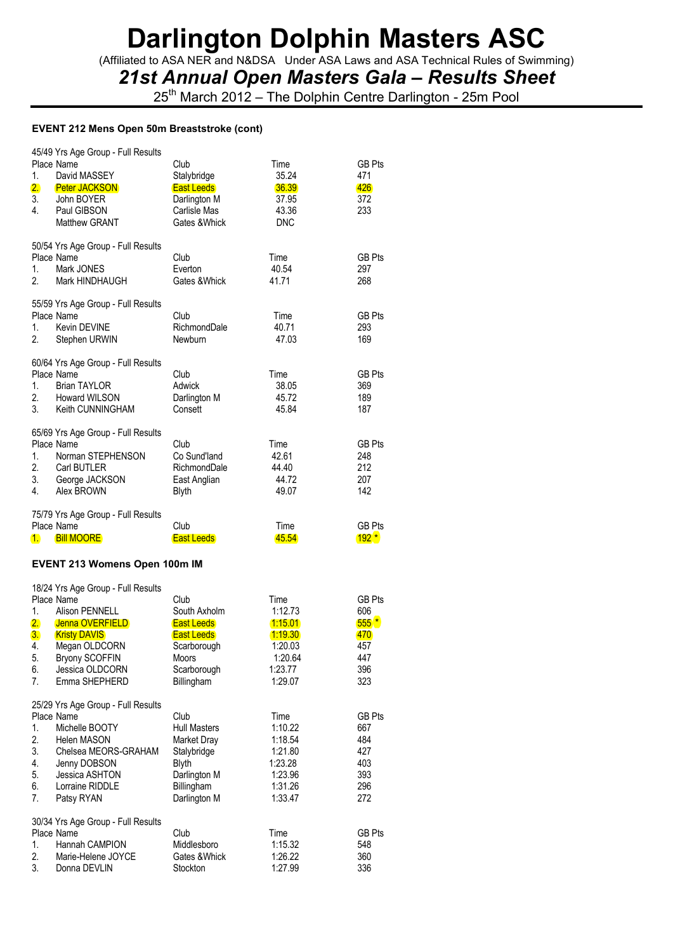(Affiliated to ASA NER and N&DSA Under ASA Laws and ASA Technical Rules of Swimming)

*21st Annual Open Masters Gala – Results Sheet*

25<sup>th</sup> March 2012 – The Dolphin Centre Darlington - 25m Pool

#### **EVENT 212 Mens Open 50m Breaststroke (cont)**

| 1.<br>2.<br>3.<br>4. | 45/49 Yrs Age Group - Full Results<br>Place Name<br>David MASSEY<br><b>Peter JACKSON</b><br>John BOYER<br>Paul GIBSON<br><b>Matthew GRANT</b> | Club<br>Stalybridge<br><b>East Leeds</b><br>Darlington M<br>Carlisle Mas<br>Gates & Whick | Time<br>35.24<br>36.39<br>37.95<br>43.36<br><b>DNC</b> | <b>GB Pts</b><br>471<br>426<br>372<br>233 |
|----------------------|-----------------------------------------------------------------------------------------------------------------------------------------------|-------------------------------------------------------------------------------------------|--------------------------------------------------------|-------------------------------------------|
| 1.<br>2.             | 50/54 Yrs Age Group - Full Results<br>Place Name<br>Mark JONES<br>Mark HINDHAUGH                                                              | Club<br>Everton<br>Gates & Whick                                                          | Time<br>40.54<br>41.71                                 | <b>GB Pts</b><br>297<br>268               |
| 1.<br>2.             | 55/59 Yrs Age Group - Full Results<br>Place Name<br><b>Kevin DEVINE</b><br>Stephen URWIN                                                      | Club<br>RichmondDale<br><b>Newburn</b>                                                    | Time<br>40.71<br>47.03                                 | GB Pts<br>293<br>169                      |
| 1.<br>3.             | 60/64 Yrs Age Group - Full Results<br>Place Name<br><b>Brian TAYLOR</b><br>2. Howard WILSON<br>Keith CUNNINGHAM                               | Club<br>Adwick<br>Darlington M<br>Consett                                                 | Time<br>38.05<br>45.72<br>45.84                        | <b>GB Pts</b><br>369<br>189<br>187        |
| 1.<br>2.<br>3.<br>4. | 65/69 Yrs Age Group - Full Results<br>Place Name<br>Norman STEPHENSON<br>Carl BUTLER<br>George JACKSON<br>Alex BROWN                          | Club<br>Co Sund'land<br>RichmondDale<br>East Anglian<br><b>Blyth</b>                      | Time<br>42.61<br>44.40<br>44.72<br>49.07               | <b>GB Pts</b><br>248<br>212<br>207<br>142 |
| 1.                   | 75/79 Yrs Age Group - Full Results<br>Place Name<br><b>Bill MOORE</b>                                                                         | Club<br><b>East Leeds</b>                                                                 | Time<br>45.54                                          | GB Pts<br>$192*$                          |

#### **EVENT 213 Womens Open 100m IM**

|                | 18/24 Yrs Age Group - Full Results<br>Place Name | Club                | Time    | GB Pts        |
|----------------|--------------------------------------------------|---------------------|---------|---------------|
| 1.             | Alison PENNELL                                   | South Axholm        | 1:12.73 | 606           |
| 2.             | Jenna OVERFIELD                                  | <b>East Leeds</b>   | 1:15.01 | $555*$        |
| 3.             | <b>Kristy DAVIS</b>                              | <b>East Leeds</b>   | 1:19.30 | 470           |
| 4.             | Megan OLDCORN                                    | Scarborough         | 1:20.03 | 457           |
| 5.             | <b>Bryony SCOFFIN</b>                            | <b>Moors</b>        | 1:20.64 | 447           |
| 6.             | Jessica OLDCORN                                  | Scarborough         | 1:23.77 | 396           |
| 7 <sub>1</sub> | Emma SHEPHERD                                    | Billingham          | 1:29.07 | 323           |
|                | 25/29 Yrs Age Group - Full Results               |                     |         |               |
|                | Place Name                                       | Club                | Time    | <b>GB Pts</b> |
| 1.             | Michelle BOOTY                                   | <b>Hull Masters</b> | 1:10.22 | 667           |
| 2.             | Helen MASON                                      | Market Dray         | 1:18.54 | 484           |
| 3.             | Chelsea MEORS-GRAHAM                             | Stalybridge         | 1:21.80 | 427           |
| 4.             | Jenny DOBSON                                     | <b>Blyth</b>        | 1:23.28 | 403           |
| 5.             | Jessica ASHTON                                   | Darlington M        | 1:23.96 | 393           |
| 6.             | Lorraine RIDDLE                                  | Billingham          | 1:31.26 | 296           |
| 7.             | Patsy RYAN                                       | Darlington M        | 1:33.47 | 272           |
|                | 30/34 Yrs Age Group - Full Results               |                     |         |               |
|                | Place Name                                       | Club                | Time    | GB Pts        |
| 1.             | Hannah CAMPION                                   | Middlesboro         | 1:15.32 | 548           |
| 2.             | Marie-Helene JOYCE                               | Gates & Whick       | 1:26.22 | 360           |
| 3.             | Donna DEVLIN                                     | Stockton            | 1:27.99 | 336           |
|                |                                                  |                     |         |               |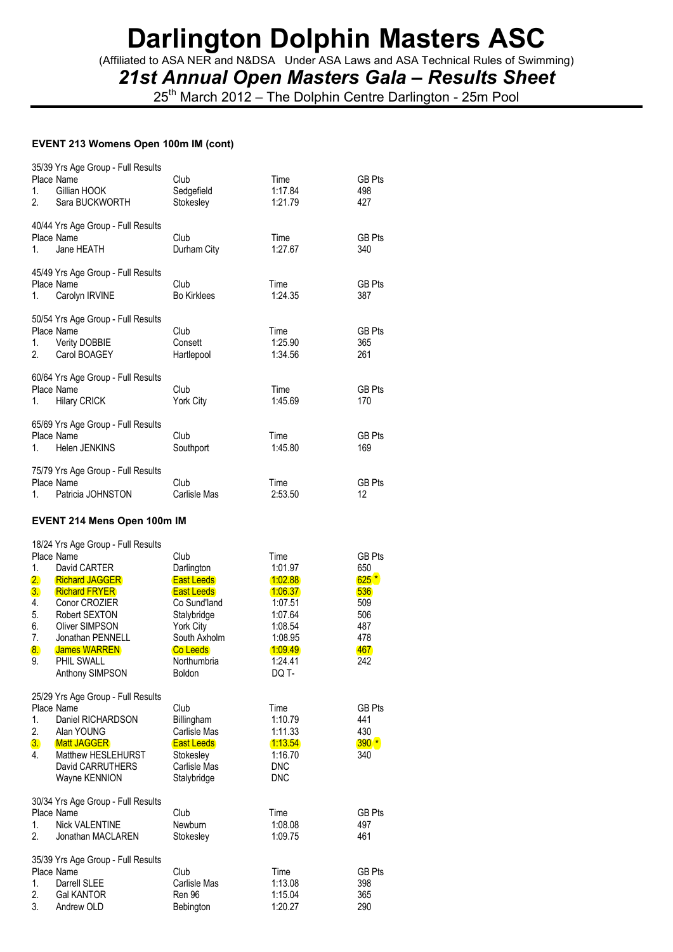(Affiliated to ASA NER and N&DSA Under ASA Laws and ASA Technical Rules of Swimming)

*21st Annual Open Masters Gala – Results Sheet*

25<sup>th</sup> March 2012 – The Dolphin Centre Darlington - 25m Pool

### **EVENT 213 Womens Open 100m IM (cont)**

| 35/39 Yrs Age Group - Full Results<br>Place Name<br>1.<br>Gillian HOOK<br>2.<br>Sara BUCKWORTH                                                                                                                                       | Club<br>Sedgefield<br>Stokesley                                                                                                                | Time<br>1:17.84<br>1:21.79                                                                            | <b>GB Pts</b><br>498<br>427                             |
|--------------------------------------------------------------------------------------------------------------------------------------------------------------------------------------------------------------------------------------|------------------------------------------------------------------------------------------------------------------------------------------------|-------------------------------------------------------------------------------------------------------|---------------------------------------------------------|
| 40/44 Yrs Age Group - Full Results<br>Place Name<br>Jane HEATH<br>1.                                                                                                                                                                 | Club<br>Durham City                                                                                                                            | Time<br>1:27.67                                                                                       | <b>GB Pts</b><br>340                                    |
| 45/49 Yrs Age Group - Full Results<br>Place Name<br>Carolyn IRVINE<br>1.                                                                                                                                                             | Club<br><b>Bo Kirklees</b>                                                                                                                     | Time<br>1:24.35                                                                                       | <b>GB Pts</b><br>387                                    |
| 50/54 Yrs Age Group - Full Results<br>Place Name<br>1.<br><b>Verity DOBBIE</b><br>2.<br>Carol BOAGEY                                                                                                                                 | Club<br>Consett<br>Hartlepool                                                                                                                  | Time<br>1:25.90<br>1:34.56                                                                            | GB Pts<br>365<br>261                                    |
| 60/64 Yrs Age Group - Full Results<br>Place Name<br>1.<br><b>Hilary CRICK</b>                                                                                                                                                        | Club<br><b>York City</b>                                                                                                                       | Time<br>1:45.69                                                                                       | <b>GB Pts</b><br>170                                    |
| 65/69 Yrs Age Group - Full Results<br>Place Name<br>Helen JENKINS<br>1.                                                                                                                                                              | Club<br>Southport                                                                                                                              | Time<br>1:45.80                                                                                       | <b>GB Pts</b><br>169                                    |
| 75/79 Yrs Age Group - Full Results<br>Place Name<br>Patricia JOHNSTON<br>1.                                                                                                                                                          | Club<br>Carlisle Mas                                                                                                                           | Time<br>2:53.50                                                                                       | <b>GB Pts</b><br>12                                     |
| EVENT 214 Mens Open 100m IM                                                                                                                                                                                                          |                                                                                                                                                |                                                                                                       |                                                         |
| 18/24 Yrs Age Group - Full Results<br>Place Name<br>1.<br>David CARTER                                                                                                                                                               | Club<br>Darlington                                                                                                                             | Time<br>1:01.97                                                                                       | <b>GB Pts</b><br>650                                    |
| 2.<br><b>Richard JAGGER</b><br>3.<br><b>Richard FRYER</b><br>4.<br>Conor CROZIER<br>5.<br>Robert SEXTON<br>6.<br><b>Oliver SIMPSON</b><br>7.<br>Jonathan PENNELL<br>8.<br><b>James WARREN</b><br>9.<br>PHIL SWALL<br>Anthony SIMPSON | <b>East Leeds</b><br><b>East Leeds</b><br>Co Sund'land<br>Stalybridge<br><b>York City</b><br>South Axholm<br>Co Leeds<br>Northumbria<br>Boldon | 1:02.88<br>1:06.37<br>1:07.51<br>1:07.64<br>1:08.54<br>1:08.95<br><u> 1:09.49</u><br>1:24.41<br>DQ T- | $625*$<br>536<br>509<br>506<br>487<br>478<br>467<br>242 |
| 25/29 Yrs Age Group - Full Results<br>Place Name<br>1.<br>Daniel RICHARDSON<br>2.<br>Alan YOUNG<br>3.<br><b>Matt JAGGER</b><br>4.<br>Matthew HESLEHURST<br>David CARRUTHERS<br>Wayne KENNION                                         | Club<br>Billingham<br>Carlisle Mas<br><b>East Leeds</b><br>Stokesley<br>Carlisle Mas<br>Stalybridge                                            | Time<br>1:10.79<br>1:11.33<br><u> 1:13.54</u><br>1:16.70<br><b>DNC</b><br><b>DNC</b>                  | <b>GB Pts</b><br>441<br>430<br>$390*$<br>340            |
| 30/34 Yrs Age Group - Full Results<br>Place Name<br>1.<br><b>Nick VALENTINE</b><br>2.<br>Jonathan MACLAREN                                                                                                                           | Club<br>Newburn<br>Stokesley                                                                                                                   | Time<br>1:08.08<br>1:09.75                                                                            | <b>GB Pts</b><br>497<br>461                             |

|    | Place Name   | <b>CIUD</b>      | ı ime   | GB I |
|----|--------------|------------------|---------|------|
|    | Darrell SLEE | Carlisle Mas     | 1:13.08 | 398  |
|    | Gal KANTOR   | Ren 96           | 1:15.04 | 365  |
| 3. | Andrew OLD   | <b>Bebington</b> | 1:20.27 | 290  |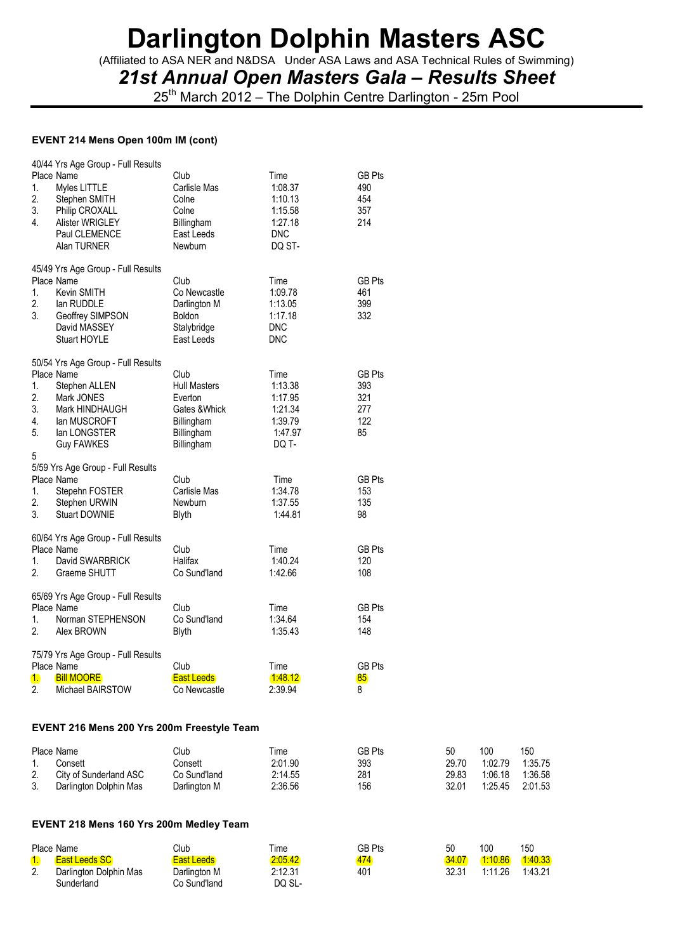(Affiliated to ASA NER and N&DSA Under ASA Laws and ASA Technical Rules of Swimming)

*21st Annual Open Masters Gala – Results Sheet*

25<sup>th</sup> March 2012 – The Dolphin Centre Darlington - 25m Pool

#### **EVENT 214 Mens Open 100m IM (cont)**

| 40/44 Yrs Age Group - Full Results<br>Place Name<br>Myles LITTLE<br>1.<br>2.<br>Stephen SMITH<br>3.<br>Philip CROXALL<br>4.<br>Alister WRIGLEY<br>Paul CLEMENCE<br>Alan TURNER            | Club<br>Carlisle Mas<br>Colne<br>Colne<br>Billingham<br>East Leeds<br><b>Newburn</b>              | Time<br>1:08.37<br>1:10.13<br>1:15.58<br>1:27.18<br><b>DNC</b><br>DQ ST- | <b>GB Pts</b><br>490<br>454<br>357<br>214       |
|-------------------------------------------------------------------------------------------------------------------------------------------------------------------------------------------|---------------------------------------------------------------------------------------------------|--------------------------------------------------------------------------|-------------------------------------------------|
| 45/49 Yrs Age Group - Full Results<br>Place Name<br>Kevin SMITH<br>1.<br>2.<br>lan RUDDLE<br>3.<br>Geoffrey SIMPSON<br>David MASSEY<br><b>Stuart HOYLE</b>                                | Club<br>Co Newcastle<br>Darlington M<br><b>Boldon</b><br>Stalybridge<br>East Leeds                | Time<br>1:09.78<br>1:13.05<br>1:17.18<br><b>DNC</b><br><b>DNC</b>        | <b>GB Pts</b><br>461<br>399<br>332              |
| 50/54 Yrs Age Group - Full Results<br>Place Name<br>1.<br>Stephen ALLEN<br>2.<br>Mark JONES<br>3.<br>Mark HINDHAUGH<br>4.<br>lan MUSCROFT<br>5.<br>lan LONGSTER<br><b>Guy FAWKES</b><br>5 | Club<br><b>Hull Masters</b><br>Everton<br>Gates & Whick<br>Billingham<br>Billingham<br>Billingham | Time<br>1:13.38<br>1:17.95<br>1:21.34<br>1:39.79<br>1:47.97<br>DQ T-     | <b>GB Pts</b><br>393<br>321<br>277<br>122<br>85 |
| 5/59 Yrs Age Group - Full Results<br>Place Name<br>1.<br>Stepehn FOSTER<br>2.<br>Stephen URWIN<br>3.<br>Stuart DOWNIE                                                                     | Club<br>Carlisle Mas<br>Newburn<br><b>Blyth</b>                                                   | Time<br>1:34.78<br>1:37.55<br>1:44.81                                    | <b>GB Pts</b><br>153<br>135<br>98               |
| 60/64 Yrs Age Group - Full Results<br>Place Name<br>1.<br>David SWARBRICK<br>2.<br>Graeme SHUTT                                                                                           | Club<br>Halifax<br>Co Sund'land                                                                   | Time<br>1:40.24<br>1:42.66                                               | <b>GB Pts</b><br>120<br>108                     |
| 65/69 Yrs Age Group - Full Results<br>Place Name<br>$1_{-}$<br>Norman STEPHENSON<br>2.<br>Alex BROWN                                                                                      | Club<br>Co Sund'land<br>Blyth                                                                     | Time<br>1:34.64<br>1:35.43                                               | <b>GB Pts</b><br>154<br>148                     |
| 75/79 Yrs Age Group - Full Results<br>Place Name<br>1.<br><b>Bill MOORE</b><br>$\overline{2}$ .<br>Michael BAIRSTOW                                                                       | Club<br><b>East Leeds</b><br>Co Newcastle                                                         | Time<br>1:48.12<br>2:39.94                                               | <b>GB Pts</b><br>85<br>8                        |

#### **EVENT 216 Mens 200 Yrs 200m Freestyle Team**

|    | Place Name             | Club         | Time    | GB Pts | 50    | 100     | 150     |
|----|------------------------|--------------|---------|--------|-------|---------|---------|
|    | Consett                | Consett      | 2:01.90 | 393    | 29.70 | 1:02.79 | 1:35.75 |
|    | City of Sunderland ASC | Co Sund'land | 2:14.55 | 281    | 29.83 | 1:06.18 | 1:36.58 |
| 3. | Darlington Dolphin Mas | Darlington M | 2:36.56 | 156    | 32.01 | 1:25.45 | 2:01.53 |

#### **EVENT 218 Mens 160 Yrs 200m Medley Team**

|         | Place Name             | Club              | Time    | GB Pts | 50    | 100     | 150     |
|---------|------------------------|-------------------|---------|--------|-------|---------|---------|
|         | East Leeds SC          | <b>East Leeds</b> | 2:05.42 | 474    | 34.07 | 1:10.86 | 1:40.33 |
| C<br>Ζ. | Darlington Dolphin Mas | Darlington M      | 2:12.31 | 401    | 32.31 | 1:11.26 | 1:43.21 |
|         | Sunderland             | Co Sund'land      | DQ SL-  |        |       |         |         |